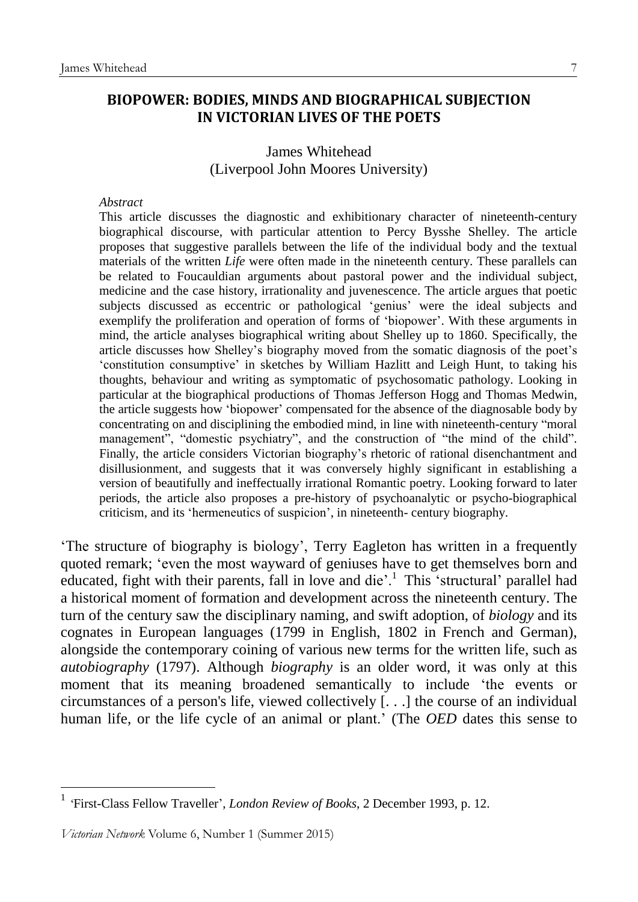## **BIOPOWER: BODIES, MINDS AND BIOGRAPHICAL SUBJECTION IN VICTORIAN LIVES OF THE POETS**

James Whitehead (Liverpool John Moores University)

## *Abstract*

This article discusses the diagnostic and exhibitionary character of nineteenth-century biographical discourse, with particular attention to Percy Bysshe Shelley. The article proposes that suggestive parallels between the life of the individual body and the textual materials of the written *Life* were often made in the nineteenth century. These parallels can be related to Foucauldian arguments about pastoral power and the individual subject, medicine and the case history, irrationality and juvenescence. The article argues that poetic subjects discussed as eccentric or pathological 'genius' were the ideal subjects and exemplify the proliferation and operation of forms of 'biopower'. With these arguments in mind, the article analyses biographical writing about Shelley up to 1860. Specifically, the article discusses how Shelley's biography moved from the somatic diagnosis of the poet's 'constitution consumptive' in sketches by William Hazlitt and Leigh Hunt, to taking his thoughts, behaviour and writing as symptomatic of psychosomatic pathology. Looking in particular at the biographical productions of Thomas Jefferson Hogg and Thomas Medwin, the article suggests how 'biopower' compensated for the absence of the diagnosable body by concentrating on and disciplining the embodied mind, in line with nineteenth-century "moral management", "domestic psychiatry", and the construction of "the mind of the child". Finally, the article considers Victorian biography's rhetoric of rational disenchantment and disillusionment, and suggests that it was conversely highly significant in establishing a version of beautifully and ineffectually irrational Romantic poetry. Looking forward to later periods, the article also proposes a pre-history of psychoanalytic or psycho-biographical criticism, and its 'hermeneutics of suspicion', in nineteenth- century biography.

'The structure of biography is biology', Terry Eagleton has written in a frequently quoted remark; 'even the most wayward of geniuses have to get themselves born and educated, fight with their parents, fall in love and die'.<sup>1</sup> This 'structural' parallel had a historical moment of formation and development across the nineteenth century. The turn of the century saw the disciplinary naming, and swift adoption, of *biology* and its cognates in European languages (1799 in English, 1802 in French and German), alongside the contemporary coining of various new terms for the written life, such as *autobiography* (1797). Although *biography* is an older word, it was only at this moment that its meaning broadened semantically to include 'the events or circumstances of a person's life, viewed collectively [. . .] the course of an individual human life, or the life cycle of an animal or plant.' (The *OED* dates this sense to

<sup>1</sup> 'First-Class Fellow Traveller', *London Review of Books*, 2 December 1993, p. 12.

*Victorian Network* Volume 6, Number 1 (Summer 2015)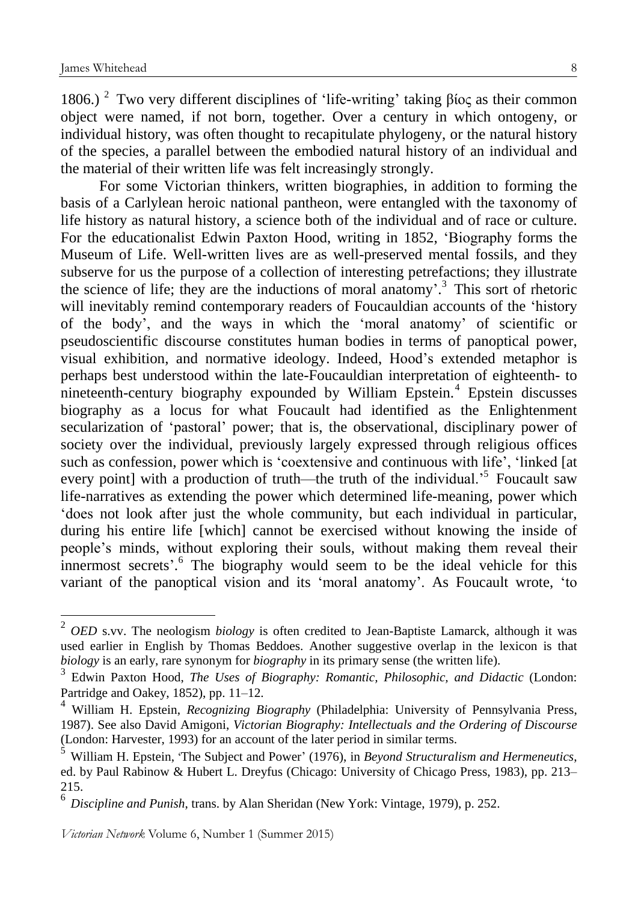1

1806.)<sup>2</sup> Two very different disciplines of 'life-writing' taking βίος as their common object were named, if not born, together. Over a century in which ontogeny, or individual history, was often thought to recapitulate phylogeny, or the natural history of the species, a parallel between the embodied natural history of an individual and the material of their written life was felt increasingly strongly.

For some Victorian thinkers, written biographies, in addition to forming the basis of a Carlylean heroic national pantheon, were entangled with the taxonomy of life history as natural history, a science both of the individual and of race or culture. For the educationalist Edwin Paxton Hood, writing in 1852, 'Biography forms the Museum of Life. Well-written lives are as well-preserved mental fossils, and they subserve for us the purpose of a collection of interesting petrefactions; they illustrate the science of life; they are the inductions of moral anatomy'. 3 This sort of rhetoric will inevitably remind contemporary readers of Foucauldian accounts of the 'history of the body', and the ways in which the 'moral anatomy' of scientific or pseudoscientific discourse constitutes human bodies in terms of panoptical power, visual exhibition, and normative ideology. Indeed, Hood's extended metaphor is perhaps best understood within the late-Foucauldian interpretation of eighteenth- to  $n$ ineteenth-century biography expounded by William Epstein.<sup>4</sup> Epstein discusses biography as a locus for what Foucault had identified as the Enlightenment secularization of 'pastoral' power; that is, the observational, disciplinary power of society over the individual, previously largely expressed through religious offices such as confession, power which is 'coextensive and continuous with life', 'linked [at every point] with a production of truth—the truth of the individual.<sup>5</sup> Foucault saw life-narratives as extending the power which determined life-meaning, power which 'does not look after just the whole community, but each individual in particular, during his entire life [which] cannot be exercised without knowing the inside of people's minds, without exploring their souls, without making them reveal their innermost secrets'. 6 The biography would seem to be the ideal vehicle for this variant of the panoptical vision and its 'moral anatomy'. As Foucault wrote, 'to

<sup>2</sup> *OED* s.vv. The neologism *biology* is often credited to Jean-Baptiste Lamarck, although it was used earlier in English by Thomas Beddoes. Another suggestive overlap in the lexicon is that *biology* is an early, rare synonym for *biography* in its primary sense (the written life).

<sup>3</sup> Edwin Paxton Hood, *The Uses of Biography: Romantic, Philosophic, and Didactic* (London: Partridge and Oakey, 1852), pp. 11–12.

<sup>4</sup> William H. Epstein, *Recognizing Biography* (Philadelphia: University of Pennsylvania Press, 1987). See also David Amigoni, *Victorian Biography: Intellectuals and the Ordering of Discourse* (London: Harvester, 1993) for an account of the later period in similar terms.

<sup>5</sup> William H. Epstein, 'The Subject and Power' (1976), in *Beyond Structuralism and Hermeneutics*, ed. by Paul Rabinow & Hubert L. Dreyfus (Chicago: University of Chicago Press, 1983), pp. 213– 215.

<sup>6</sup> *Discipline and Punish*, trans. by Alan Sheridan (New York: Vintage, 1979), p. 252.

*Victorian Network* Volume 6, Number 1 (Summer 2015)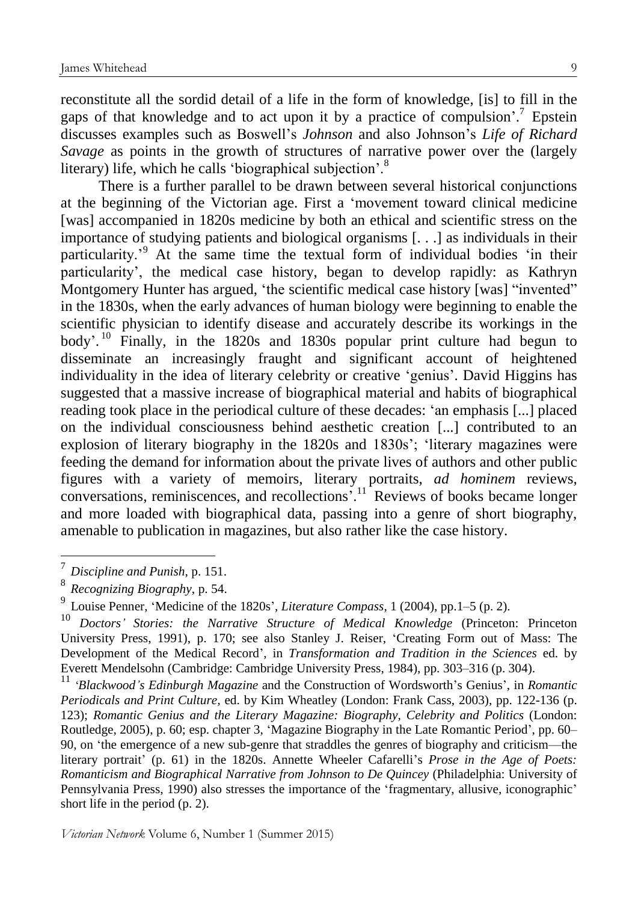reconstitute all the sordid detail of a life in the form of knowledge, [is] to fill in the gaps of that knowledge and to act upon it by a practice of compulsion'. 7 Epstein discusses examples such as Boswell's *Johnson* and also Johnson's *Life of Richard Savage* as points in the growth of structures of narrative power over the (largely literary) life, which he calls 'biographical subjection'.<sup>8</sup>

There is a further parallel to be drawn between several historical conjunctions at the beginning of the Victorian age. First a 'movement toward clinical medicine [was] accompanied in 1820s medicine by both an ethical and scientific stress on the importance of studying patients and biological organisms [. . .] as individuals in their particularity.'<sup>9</sup> At the same time the textual form of individual bodies 'in their particularity', the medical case history, began to develop rapidly: as Kathryn Montgomery Hunter has argued, 'the scientific medical case history [was] "invented" in the 1830s, when the early advances of human biology were beginning to enable the scientific physician to identify disease and accurately describe its workings in the body'.<sup>10</sup> Finally, in the 1820s and 1830s popular print culture had begun to disseminate an increasingly fraught and significant account of heightened individuality in the idea of literary celebrity or creative 'genius'. David Higgins has suggested that a massive increase of biographical material and habits of biographical reading took place in the periodical culture of these decades: 'an emphasis [...] placed on the individual consciousness behind aesthetic creation [...] contributed to an explosion of literary biography in the 1820s and 1830s'; 'literary magazines were feeding the demand for information about the private lives of authors and other public figures with a variety of memoirs, literary portraits, *ad hominem* reviews, conversations, reminiscences, and recollections<sup>5</sup>.<sup>11</sup> Reviews of books became longer and more loaded with biographical data, passing into a genre of short biography, amenable to publication in magazines, but also rather like the case history.

<sup>7</sup> *Discipline and Punish*, p. 151.

<sup>8</sup> *Recognizing Biography*, p. 54.

<sup>9</sup> Louise Penner, 'Medicine of the 1820s', *Literature Compass*, 1 (2004), pp.1–5 (p. 2).

<sup>10</sup> *Doctors' Stories: the Narrative Structure of Medical Knowledge* (Princeton: Princeton University Press, 1991), p. 170; see also Stanley J. Reiser, 'Creating Form out of Mass: The Development of the Medical Record', in *Transformation and Tradition in the Sciences* ed. by Everett Mendelsohn (Cambridge: Cambridge University Press, 1984), pp. 303–316 (p. 304).

<sup>11</sup> '*Blackwood's Edinburgh Magazine* and the Construction of Wordsworth's Genius', in *Romantic Periodicals and Print Culture,* ed. by Kim Wheatley (London: Frank Cass, 2003), pp. 122-136 (p. 123); *Romantic Genius and the Literary Magazine: Biography, Celebrity and Politics* (London: Routledge, 2005), p. 60; esp. chapter 3, 'Magazine Biography in the Late Romantic Period', pp. 60– 90, on 'the emergence of a new sub-genre that straddles the genres of biography and criticism—the literary portrait' (p. 61) in the 1820s. Annette Wheeler Cafarelli's *Prose in the Age of Poets: Romanticism and Biographical Narrative from Johnson to De Quincey* (Philadelphia: University of Pennsylvania Press, 1990) also stresses the importance of the 'fragmentary, allusive, iconographic' short life in the period (p. 2).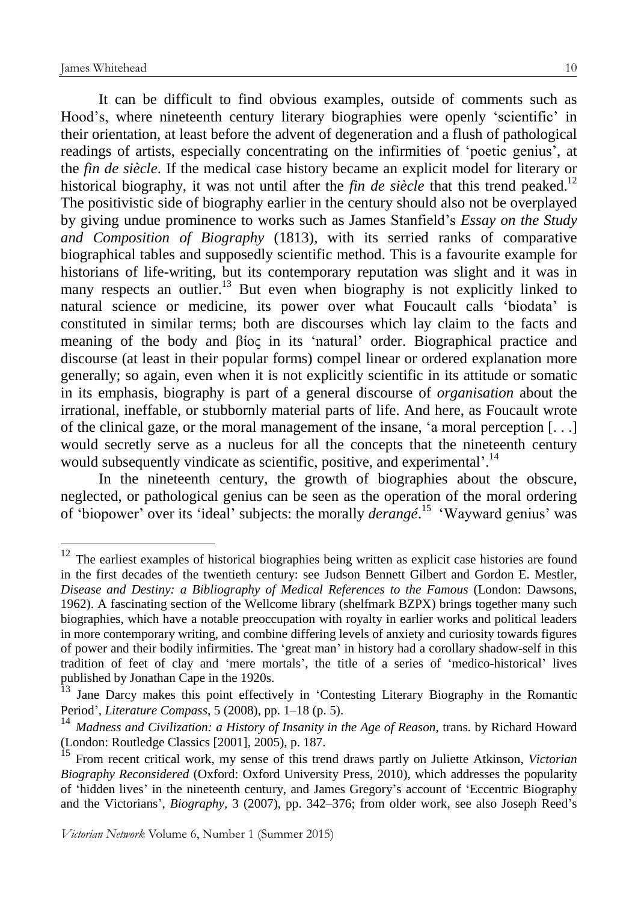<u>.</u>

It can be difficult to find obvious examples, outside of comments such as Hood's, where nineteenth century literary biographies were openly 'scientific' in their orientation, at least before the advent of degeneration and a flush of pathological readings of artists, especially concentrating on the infirmities of 'poetic genius', at the *fin de siècle*. If the medical case history became an explicit model for literary or historical biography, it was not until after the *fin de siècle* that this trend peaked.<sup>12</sup> The positivistic side of biography earlier in the century should also not be overplayed by giving undue prominence to works such as James Stanfield's *Essay on the Study and Composition of Biography* (1813), with its serried ranks of comparative biographical tables and supposedly scientific method. This is a favourite example for historians of life-writing, but its contemporary reputation was slight and it was in many respects an outlier.<sup>13</sup> But even when biography is not explicitly linked to natural science or medicine, its power over what Foucault calls 'biodata' is constituted in similar terms; both are discourses which lay claim to the facts and meaning of the body and βίος in its 'natural' order. Biographical practice and discourse (at least in their popular forms) compel linear or ordered explanation more generally; so again, even when it is not explicitly scientific in its attitude or somatic in its emphasis, biography is part of a general discourse of *organisation* about the irrational, ineffable, or stubbornly material parts of life. And here, as Foucault wrote of the clinical gaze, or the moral management of the insane, 'a moral perception [. . .] would secretly serve as a nucleus for all the concepts that the nineteenth century would subsequently vindicate as scientific, positive, and experimental'.<sup>14</sup>

In the nineteenth century, the growth of biographies about the obscure, neglected, or pathological genius can be seen as the operation of the moral ordering of 'biopower' over its 'ideal' subjects: the morally *derangé*. <sup>15</sup> 'Wayward genius' was

 $12$  The earliest examples of historical biographies being written as explicit case histories are found in the first decades of the twentieth century: see Judson Bennett Gilbert and Gordon E. Mestler, *Disease and Destiny: a Bibliography of Medical References to the Famous* (London: Dawsons, 1962). A fascinating section of the Wellcome library (shelfmark BZPX) brings together many such biographies, which have a notable preoccupation with royalty in earlier works and political leaders in more contemporary writing, and combine differing levels of anxiety and curiosity towards figures of power and their bodily infirmities. The 'great man' in history had a corollary shadow-self in this tradition of feet of clay and 'mere mortals', the title of a series of 'medico-historical' lives published by Jonathan Cape in the 1920s.

<sup>13</sup> Jane Darcy makes this point effectively in 'Contesting Literary Biography in the Romantic Period', *Literature Compass*, 5 (2008), pp. 1–18 (p. 5).

<sup>14</sup> *Madness and Civilization: a History of Insanity in the Age of Reason*, trans. by Richard Howard (London: Routledge Classics [2001], 2005), p. 187.

<sup>15</sup> From recent critical work, my sense of this trend draws partly on Juliette Atkinson, *Victorian Biography Reconsidered* (Oxford: Oxford University Press, 2010), which addresses the popularity of 'hidden lives' in the nineteenth century, and James Gregory's account of 'Eccentric Biography and the Victorians', *Biography,* 3 (2007), pp. 342–376; from older work, see also Joseph Reed's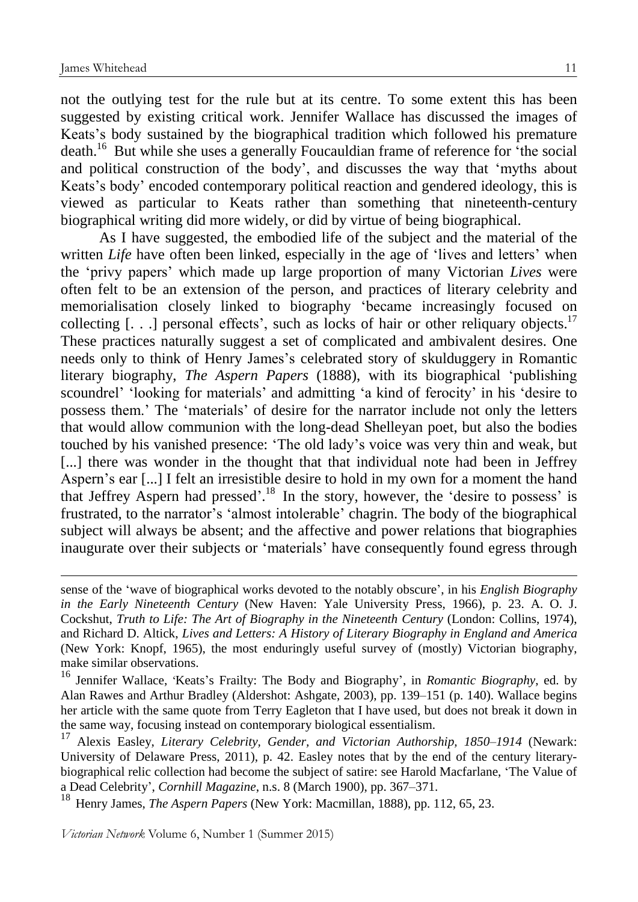1

not the outlying test for the rule but at its centre. To some extent this has been suggested by existing critical work. Jennifer Wallace has discussed the images of Keats's body sustained by the biographical tradition which followed his premature death.<sup>16</sup> But while she uses a generally Foucauldian frame of reference for 'the social and political construction of the body', and discusses the way that 'myths about Keats's body' encoded contemporary political reaction and gendered ideology, this is viewed as particular to Keats rather than something that nineteenth-century biographical writing did more widely, or did by virtue of being biographical.

As I have suggested, the embodied life of the subject and the material of the written *Life* have often been linked, especially in the age of 'lives and letters' when the 'privy papers' which made up large proportion of many Victorian *Lives* were often felt to be an extension of the person, and practices of literary celebrity and memorialisation closely linked to biography 'became increasingly focused on collecting  $\lbrack \ldots \rbrack$  personal effects', such as locks of hair or other reliquary objects.<sup>17</sup> These practices naturally suggest a set of complicated and ambivalent desires. One needs only to think of Henry James's celebrated story of skulduggery in Romantic literary biography, *The Aspern Papers* (1888), with its biographical 'publishing scoundrel' 'looking for materials' and admitting 'a kind of ferocity' in his 'desire to possess them.' The 'materials' of desire for the narrator include not only the letters that would allow communion with the long-dead Shelleyan poet, but also the bodies touched by his vanished presence: 'The old lady's voice was very thin and weak, but [...] there was wonder in the thought that that individual note had been in Jeffrey Aspern's ear [...] I felt an irresistible desire to hold in my own for a moment the hand that Jeffrey Aspern had pressed'.<sup>18</sup> In the story, however, the 'desire to possess' is frustrated, to the narrator's 'almost intolerable' chagrin. The body of the biographical subject will always be absent; and the affective and power relations that biographies inaugurate over their subjects or 'materials' have consequently found egress through

sense of the 'wave of biographical works devoted to the notably obscure', in his *English Biography in the Early Nineteenth Century* (New Haven: Yale University Press, 1966), p. 23. A. O. J. Cockshut, *Truth to Life: The Art of Biography in the Nineteenth Century* (London: Collins, 1974), and Richard D. Altick, *Lives and Letters: A History of Literary Biography in England and America* (New York: Knopf, 1965), the most enduringly useful survey of (mostly) Victorian biography, make similar observations.

<sup>16</sup> Jennifer Wallace, 'Keats's Frailty: The Body and Biography', in *Romantic Biography*, ed. by Alan Rawes and Arthur Bradley (Aldershot: Ashgate, 2003), pp. 139–151 (p. 140). Wallace begins her article with the same quote from Terry Eagleton that I have used, but does not break it down in the same way, focusing instead on contemporary biological essentialism.

<sup>17</sup> Alexis Easley, *Literary Celebrity, Gender, and Victorian Authorship, 1850–1914* (Newark: University of Delaware Press, 2011), p. 42. Easley notes that by the end of the century literarybiographical relic collection had become the subject of satire: see Harold Macfarlane, 'The Value of a Dead Celebrity', *Cornhill Magazine*, n.s. 8 (March 1900), pp. 367–371.

<sup>18</sup> Henry James, *The Aspern Papers* (New York: Macmillan, 1888), pp. 112, 65, 23.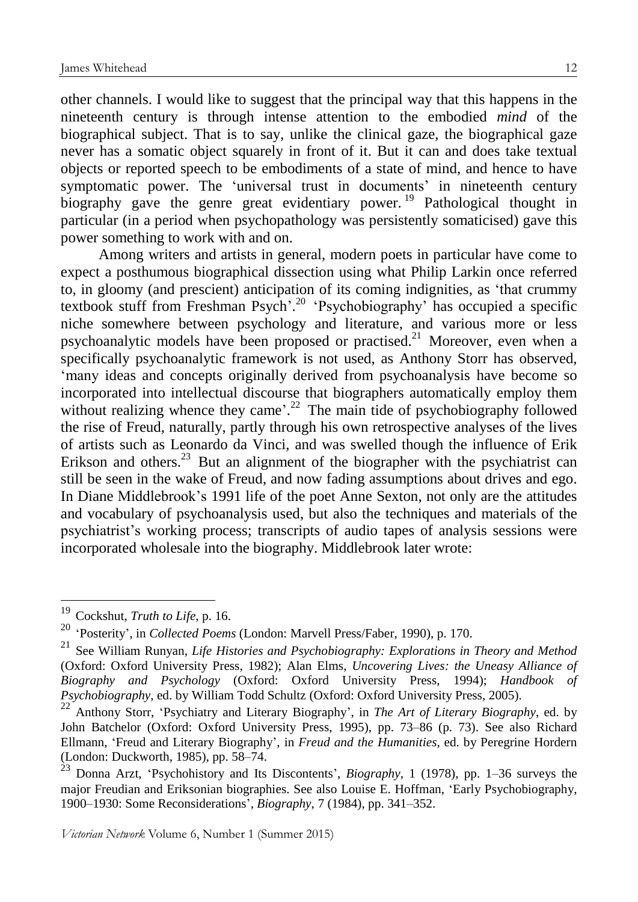other channels. I would like to suggest that the principal way that this happens in the nineteenth century is through intense attention to the embodied *mind* of the biographical subject. That is to say, unlike the clinical gaze, the biographical gaze never has a somatic object squarely in front of it. But it can and does take textual objects or reported speech to be embodiments of a state of mind, and hence to have symptomatic power. The 'universal trust in documents' in nineteenth century biography gave the genre great evidentiary power.<sup>19</sup> Pathological thought in particular (in a period when psychopathology was persistently somaticised) gave this power something to work with and on.

Among writers and artists in general, modern poets in particular have come to expect a posthumous biographical dissection using what Philip Larkin once referred to, in gloomy (and prescient) anticipation of its coming indignities, as 'that crummy textbook stuff from Freshman Psych'. <sup>20</sup> 'Psychobiography' has occupied a specific niche somewhere between psychology and literature, and various more or less psychoanalytic models have been proposed or practised.<sup>21</sup> Moreover, even when a specifically psychoanalytic framework is not used, as Anthony Storr has observed, 'many ideas and concepts originally derived from psychoanalysis have become so incorporated into intellectual discourse that biographers automatically employ them without realizing whence they came'.<sup>22</sup> The main tide of psychobiography followed the rise of Freud, naturally, partly through his own retrospective analyses of the lives of artists such as Leonardo da Vinci, and was swelled though the influence of Erik Erikson and others.<sup>23</sup> But an alignment of the biographer with the psychiatrist can still be seen in the wake of Freud, and now fading assumptions about drives and ego. In Diane Middlebrook's 1991 life of the poet Anne Sexton, not only are the attitudes and vocabulary of psychoanalysis used, but also the techniques and materials of the psychiatrist's working process; transcripts of audio tapes of analysis sessions were incorporated wholesale into the biography. Middlebrook later wrote:

<sup>19</sup> Cockshut, *Truth to Life*, p. 16.

<sup>20</sup> 'Posterity', in *Collected Poems* (London: Marvell Press/Faber, 1990), p. 170.

<sup>21</sup> See William Runyan, *Life Histories and Psychobiography: Explorations in Theory and Method* (Oxford: Oxford University Press, 1982); Alan Elms, *Uncovering Lives: the Uneasy Alliance of Biography and Psychology* (Oxford: Oxford University Press, 1994); *Handbook of Psychobiography*, ed. by William Todd Schultz (Oxford: Oxford University Press, 2005).

<sup>22</sup> Anthony Storr, 'Psychiatry and Literary Biography', in *The Art of Literary Biography*, ed. by John Batchelor (Oxford: Oxford University Press, 1995), pp. 73–86 (p. 73). See also Richard Ellmann, 'Freud and Literary Biography', in *Freud and the Humanities*, ed. by Peregrine Hordern (London: Duckworth, 1985), pp. 58–74.

<sup>23</sup> Donna Arzt, 'Psychohistory and Its Discontents', *Biography*, 1 (1978), pp. 1–36 surveys the major Freudian and Eriksonian biographies. See also Louise E. Hoffman, 'Early Psychobiography, 1900–1930: Some Reconsiderations', *Biography*, 7 (1984), pp. 341–352.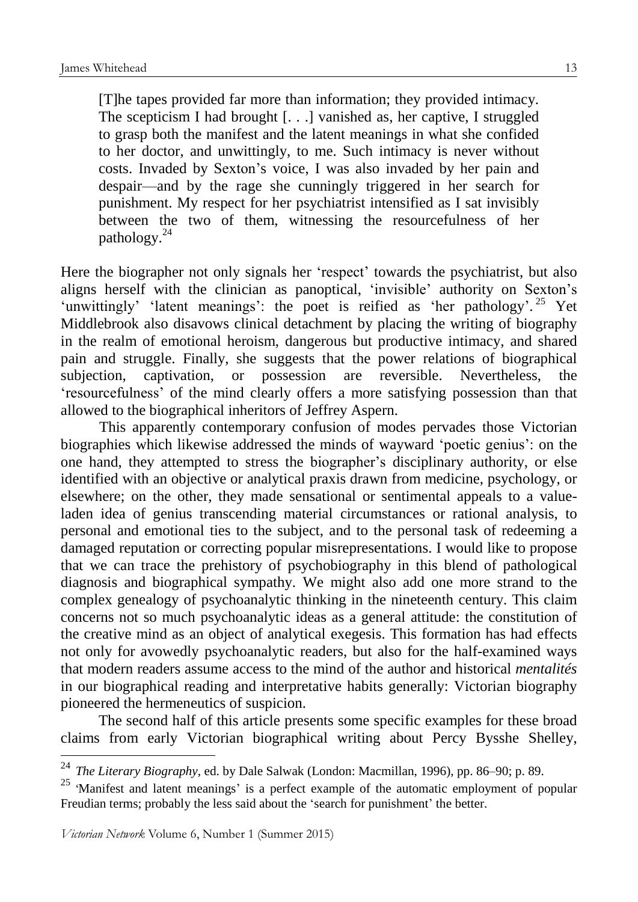[T]he tapes provided far more than information; they provided intimacy. The scepticism I had brought [. . .] vanished as, her captive, I struggled to grasp both the manifest and the latent meanings in what she confided to her doctor, and unwittingly, to me. Such intimacy is never without costs. Invaded by Sexton's voice, I was also invaded by her pain and despair—and by the rage she cunningly triggered in her search for punishment. My respect for her psychiatrist intensified as I sat invisibly between the two of them, witnessing the resourcefulness of her pathology.<sup>24</sup>

Here the biographer not only signals her 'respect' towards the psychiatrist, but also aligns herself with the clinician as panoptical, 'invisible' authority on Sexton's 'unwittingly' 'latent meanings': the poet is reified as 'her pathology'.<sup>25</sup> Yet Middlebrook also disavows clinical detachment by placing the writing of biography in the realm of emotional heroism, dangerous but productive intimacy, and shared pain and struggle. Finally, she suggests that the power relations of biographical subjection, captivation, or possession are reversible. Nevertheless, 'resourcefulness' of the mind clearly offers a more satisfying possession than that allowed to the biographical inheritors of Jeffrey Aspern.

This apparently contemporary confusion of modes pervades those Victorian biographies which likewise addressed the minds of wayward 'poetic genius': on the one hand, they attempted to stress the biographer's disciplinary authority, or else identified with an objective or analytical praxis drawn from medicine, psychology, or elsewhere; on the other, they made sensational or sentimental appeals to a valueladen idea of genius transcending material circumstances or rational analysis, to personal and emotional ties to the subject, and to the personal task of redeeming a damaged reputation or correcting popular misrepresentations. I would like to propose that we can trace the prehistory of psychobiography in this blend of pathological diagnosis and biographical sympathy. We might also add one more strand to the complex genealogy of psychoanalytic thinking in the nineteenth century. This claim concerns not so much psychoanalytic ideas as a general attitude: the constitution of the creative mind as an object of analytical exegesis. This formation has had effects not only for avowedly psychoanalytic readers, but also for the half-examined ways that modern readers assume access to the mind of the author and historical *mentalités* in our biographical reading and interpretative habits generally: Victorian biography pioneered the hermeneutics of suspicion.

The second half of this article presents some specific examples for these broad claims from early Victorian biographical writing about Percy Bysshe Shelley,

<sup>24</sup> *The Literary Biography*, ed. by Dale Salwak (London: Macmillan, 1996), pp. 86–90; p. 89.

<sup>&</sup>lt;sup>25</sup> 'Manifest and latent meanings' is a perfect example of the automatic employment of popular Freudian terms; probably the less said about the 'search for punishment' the better.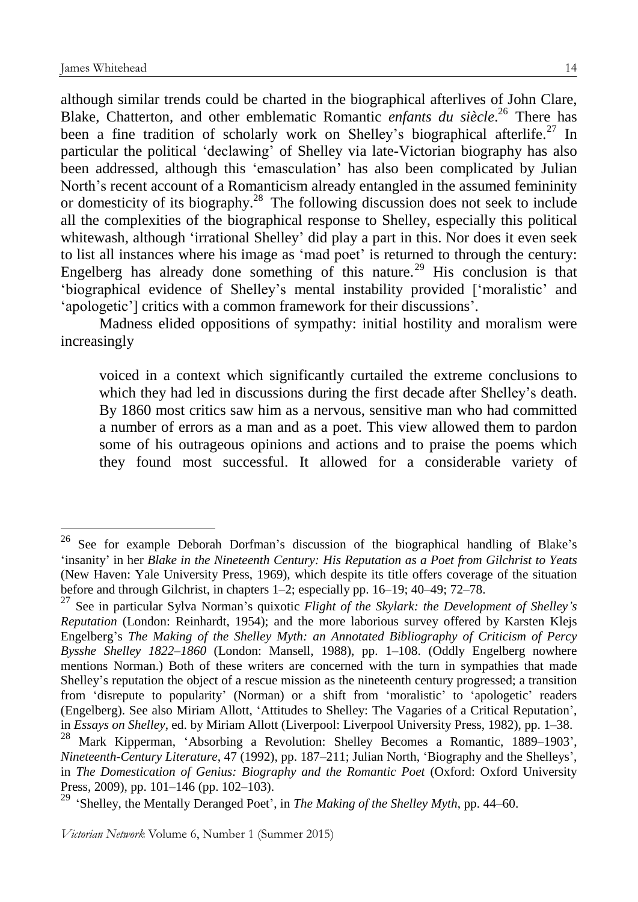<u>.</u>

although similar trends could be charted in the biographical afterlives of John Clare, Blake, Chatterton, and other emblematic Romantic *enfants du siècle*. <sup>26</sup> There has been a fine tradition of scholarly work on Shelley's biographical afterlife.<sup>27</sup> In particular the political 'declawing' of Shelley via late-Victorian biography has also been addressed, although this 'emasculation' has also been complicated by Julian North's recent account of a Romanticism already entangled in the assumed femininity or domesticity of its biography.<sup>28</sup> The following discussion does not seek to include all the complexities of the biographical response to Shelley, especially this political whitewash, although 'irrational Shelley' did play a part in this. Nor does it even seek to list all instances where his image as 'mad poet' is returned to through the century: Engelberg has already done something of this nature.<sup>29</sup> His conclusion is that 'biographical evidence of Shelley's mental instability provided ['moralistic' and 'apologetic'] critics with a common framework for their discussions'.

Madness elided oppositions of sympathy: initial hostility and moralism were increasingly

voiced in a context which significantly curtailed the extreme conclusions to which they had led in discussions during the first decade after Shelley's death. By 1860 most critics saw him as a nervous, sensitive man who had committed a number of errors as a man and as a poet. This view allowed them to pardon some of his outrageous opinions and actions and to praise the poems which they found most successful. It allowed for a considerable variety of

<sup>26</sup> See for example Deborah Dorfman's discussion of the biographical handling of Blake's 'insanity' in her *Blake in the Nineteenth Century: His Reputation as a Poet from Gilchrist to Yeats* (New Haven: Yale University Press, 1969), which despite its title offers coverage of the situation before and through Gilchrist, in chapters 1–2; especially pp. 16–19; 40–49; 72–78.

<sup>27</sup> See in particular Sylva Norman's quixotic *Flight of the Skylark: the Development of Shelley's Reputation* (London: Reinhardt, 1954); and the more laborious survey offered by Karsten Klejs Engelberg's *The Making of the Shelley Myth: an Annotated Bibliography of Criticism of Percy Bysshe Shelley 1822–1860* (London: Mansell, 1988), pp. 1–108. (Oddly Engelberg nowhere mentions Norman.) Both of these writers are concerned with the turn in sympathies that made Shelley's reputation the object of a rescue mission as the nineteenth century progressed; a transition from 'disrepute to popularity' (Norman) or a shift from 'moralistic' to 'apologetic' readers (Engelberg). See also Miriam Allott, 'Attitudes to Shelley: The Vagaries of a Critical Reputation', in *Essays on Shelley*, ed. by Miriam Allott (Liverpool: Liverpool University Press, 1982), pp. 1–38.

<sup>28</sup> Mark Kipperman, 'Absorbing a Revolution: Shelley Becomes a Romantic, 1889–1903', *Nineteenth-Century Literature*, 47 (1992), pp. 187–211; Julian North, 'Biography and the Shelleys', in *The Domestication of Genius: Biography and the Romantic Poet* (Oxford: Oxford University Press, 2009), pp. 101–146 (pp. 102–103).

<sup>29</sup> 'Shelley, the Mentally Deranged Poet', in *The Making of the Shelley Myth*, pp. 44–60.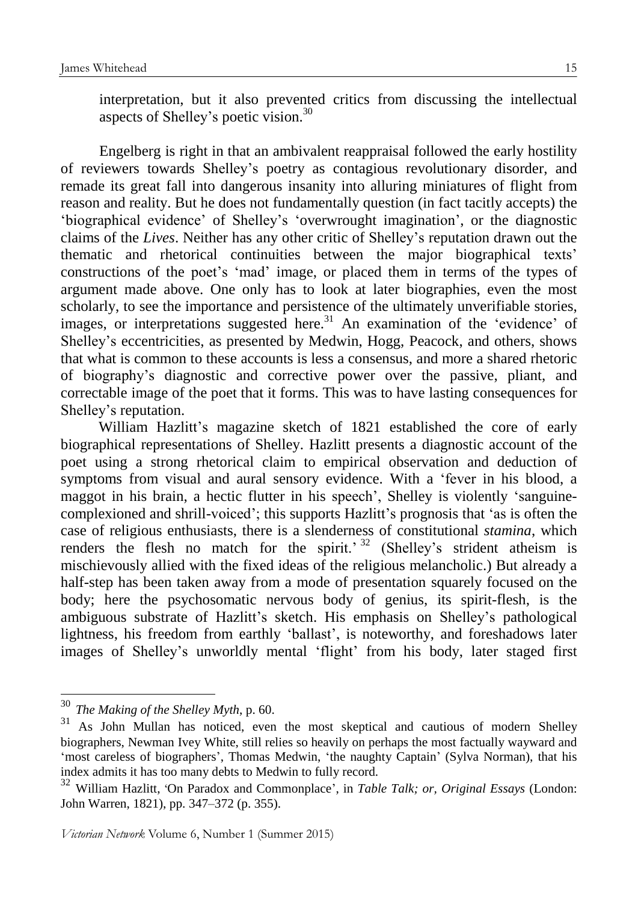interpretation, but it also prevented critics from discussing the intellectual aspects of Shelley's poetic vision.<sup>30</sup>

Engelberg is right in that an ambivalent reappraisal followed the early hostility of reviewers towards Shelley's poetry as contagious revolutionary disorder, and remade its great fall into dangerous insanity into alluring miniatures of flight from reason and reality. But he does not fundamentally question (in fact tacitly accepts) the 'biographical evidence' of Shelley's 'overwrought imagination', or the diagnostic claims of the *Lives*. Neither has any other critic of Shelley's reputation drawn out the thematic and rhetorical continuities between the major biographical texts' constructions of the poet's 'mad' image, or placed them in terms of the types of argument made above. One only has to look at later biographies, even the most scholarly, to see the importance and persistence of the ultimately unverifiable stories, images, or interpretations suggested here.<sup>31</sup> An examination of the 'evidence' of Shelley's eccentricities, as presented by Medwin, Hogg, Peacock, and others, shows that what is common to these accounts is less a consensus, and more a shared rhetoric of biography's diagnostic and corrective power over the passive, pliant, and correctable image of the poet that it forms. This was to have lasting consequences for Shelley's reputation.

William Hazlitt's magazine sketch of 1821 established the core of early biographical representations of Shelley. Hazlitt presents a diagnostic account of the poet using a strong rhetorical claim to empirical observation and deduction of symptoms from visual and aural sensory evidence. With a 'fever in his blood, a maggot in his brain, a hectic flutter in his speech', Shelley is violently 'sanguinecomplexioned and shrill-voiced'; this supports Hazlitt's prognosis that 'as is often the case of religious enthusiasts, there is a slenderness of constitutional *stamina*, which renders the flesh no match for the spirit.'  $32$  (Shelley's strident atheism is mischievously allied with the fixed ideas of the religious melancholic.) But already a half-step has been taken away from a mode of presentation squarely focused on the body; here the psychosomatic nervous body of genius, its spirit-flesh, is the ambiguous substrate of Hazlitt's sketch. His emphasis on Shelley's pathological lightness, his freedom from earthly 'ballast', is noteworthy, and foreshadows later images of Shelley's unworldly mental 'flight' from his body, later staged first

<sup>30</sup> *The Making of the Shelley Myth*, p. 60.

<sup>31</sup> As John Mullan has noticed, even the most skeptical and cautious of modern Shelley biographers, Newman Ivey White, still relies so heavily on perhaps the most factually wayward and 'most careless of biographers', Thomas Medwin, 'the naughty Captain' (Sylva Norman), that his index admits it has too many debts to Medwin to fully record.

<sup>32</sup> William Hazlitt, 'On Paradox and Commonplace', in *Table Talk; or, Original Essays* (London: John Warren, 1821), pp. 347–372 (p. 355).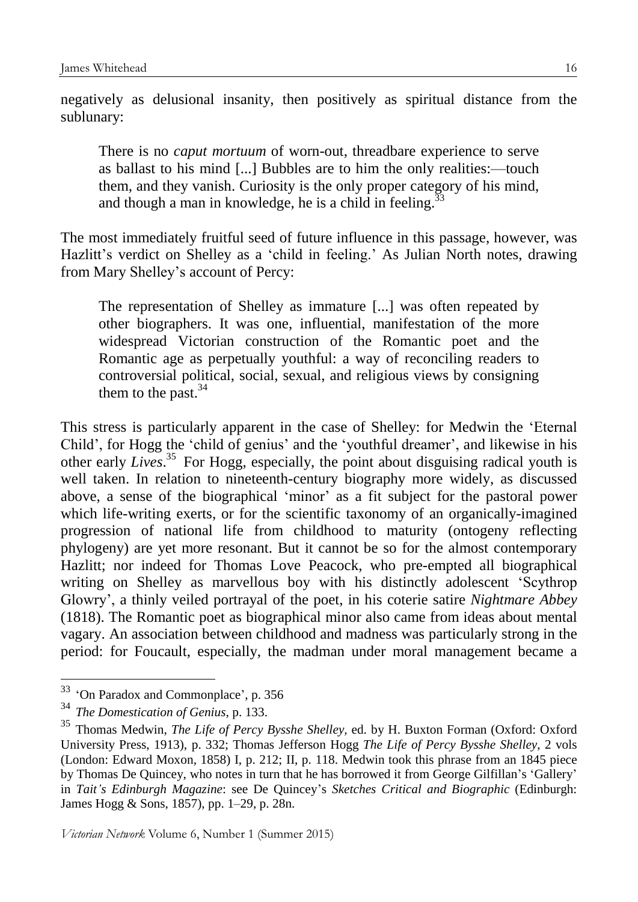negatively as delusional insanity, then positively as spiritual distance from the sublunary:

There is no *caput mortuum* of worn-out, threadbare experience to serve as ballast to his mind [...] Bubbles are to him the only realities:—touch them, and they vanish. Curiosity is the only proper category of his mind, and though a man in knowledge, he is a child in feeling.<sup>33</sup>

The most immediately fruitful seed of future influence in this passage, however, was Hazlitt's verdict on Shelley as a 'child in feeling.' As Julian North notes, drawing from Mary Shelley's account of Percy:

The representation of Shelley as immature [...] was often repeated by other biographers. It was one, influential, manifestation of the more widespread Victorian construction of the Romantic poet and the Romantic age as perpetually youthful: a way of reconciling readers to controversial political, social, sexual, and religious views by consigning them to the past. $34$ 

This stress is particularly apparent in the case of Shelley: for Medwin the 'Eternal Child', for Hogg the 'child of genius' and the 'youthful dreamer', and likewise in his other early *Lives*. <sup>35</sup> For Hogg, especially, the point about disguising radical youth is well taken. In relation to nineteenth-century biography more widely, as discussed above, a sense of the biographical 'minor' as a fit subject for the pastoral power which life-writing exerts, or for the scientific taxonomy of an organically-imagined progression of national life from childhood to maturity (ontogeny reflecting phylogeny) are yet more resonant. But it cannot be so for the almost contemporary Hazlitt; nor indeed for Thomas Love Peacock, who pre-empted all biographical writing on Shelley as marvellous boy with his distinctly adolescent 'Scythrop' Glowry', a thinly veiled portrayal of the poet, in his coterie satire *Nightmare Abbey* (1818). The Romantic poet as biographical minor also came from ideas about mental vagary. An association between childhood and madness was particularly strong in the period: for Foucault, especially, the madman under moral management became a

<sup>&</sup>lt;sup>33</sup> 'On Paradox and Commonplace', p. 356

<sup>34</sup> *The Domestication of Genius*, p. 133.

<sup>35</sup> Thomas Medwin, *The Life of Percy Bysshe Shelley,* ed. by H. Buxton Forman (Oxford: Oxford University Press, 1913), p. 332; Thomas Jefferson Hogg *The Life of Percy Bysshe Shelley*, 2 vols (London: Edward Moxon, 1858) I, p. 212; II, p. 118. Medwin took this phrase from an 1845 piece by Thomas De Quincey, who notes in turn that he has borrowed it from George Gilfillan's 'Gallery' in *Tait's Edinburgh Magazine*: see De Quincey's *Sketches Critical and Biographic* (Edinburgh: James Hogg & Sons, 1857), pp. 1–29, p. 28n.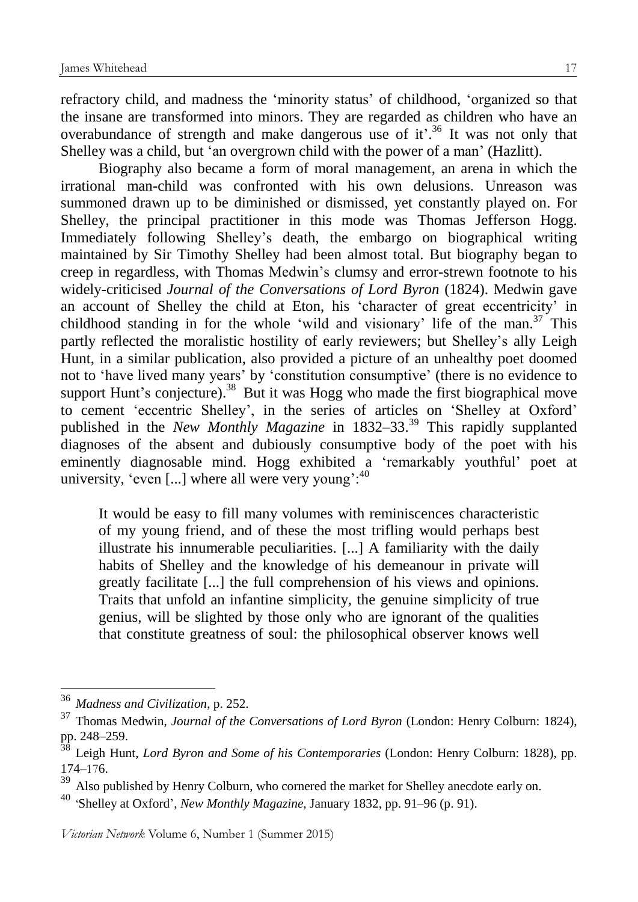refractory child, and madness the 'minority status' of childhood, 'organized so that the insane are transformed into minors. They are regarded as children who have an overabundance of strength and make dangerous use of it'.<sup>36</sup> It was not only that Shelley was a child, but 'an overgrown child with the power of a man' (Hazlitt).

Biography also became a form of moral management, an arena in which the irrational man-child was confronted with his own delusions. Unreason was summoned drawn up to be diminished or dismissed, yet constantly played on. For Shelley, the principal practitioner in this mode was Thomas Jefferson Hogg. Immediately following Shelley's death, the embargo on biographical writing maintained by Sir Timothy Shelley had been almost total. But biography began to creep in regardless, with Thomas Medwin's clumsy and error-strewn footnote to his widely-criticised *Journal of the Conversations of Lord Byron* (1824). Medwin gave an account of Shelley the child at Eton, his 'character of great eccentricity' in childhood standing in for the whole 'wild and visionary' life of the man.<sup>37</sup> This partly reflected the moralistic hostility of early reviewers; but Shelley's ally Leigh Hunt, in a similar publication, also provided a picture of an unhealthy poet doomed not to 'have lived many years' by 'constitution consumptive' (there is no evidence to support Hunt's conjecture).<sup>38</sup> But it was Hogg who made the first biographical move to cement 'eccentric Shelley', in the series of articles on 'Shelley at Oxford' published in the *New Monthly Magazine* in 1832–33.<sup>39</sup> This rapidly supplanted diagnoses of the absent and dubiously consumptive body of the poet with his eminently diagnosable mind. Hogg exhibited a 'remarkably youthful' poet at university, 'even [...] where all were very young': $^{40}$ 

It would be easy to fill many volumes with reminiscences characteristic of my young friend, and of these the most trifling would perhaps best illustrate his innumerable peculiarities. [...] A familiarity with the daily habits of Shelley and the knowledge of his demeanour in private will greatly facilitate [...] the full comprehension of his views and opinions. Traits that unfold an infantine simplicity, the genuine simplicity of true genius, will be slighted by those only who are ignorant of the qualities that constitute greatness of soul: the philosophical observer knows well

<sup>36</sup> *Madness and Civilization*, p. 252.

<sup>37</sup> Thomas Medwin, *Journal of the Conversations of Lord Byron* (London: Henry Colburn: 1824), pp. 248–259.

<sup>38</sup> Leigh Hunt, *Lord Byron and Some of his Contemporaries* (London: Henry Colburn: 1828), pp. 174–176.

<sup>&</sup>lt;sup>39</sup> Also published by Henry Colburn, who cornered the market for Shelley anecdote early on.

<sup>40</sup> 'Shelley at Oxford', *New Monthly Magazine*, January 1832, pp. 91–96 (p. 91).

*Victorian Network* Volume 6, Number 1 (Summer 2015)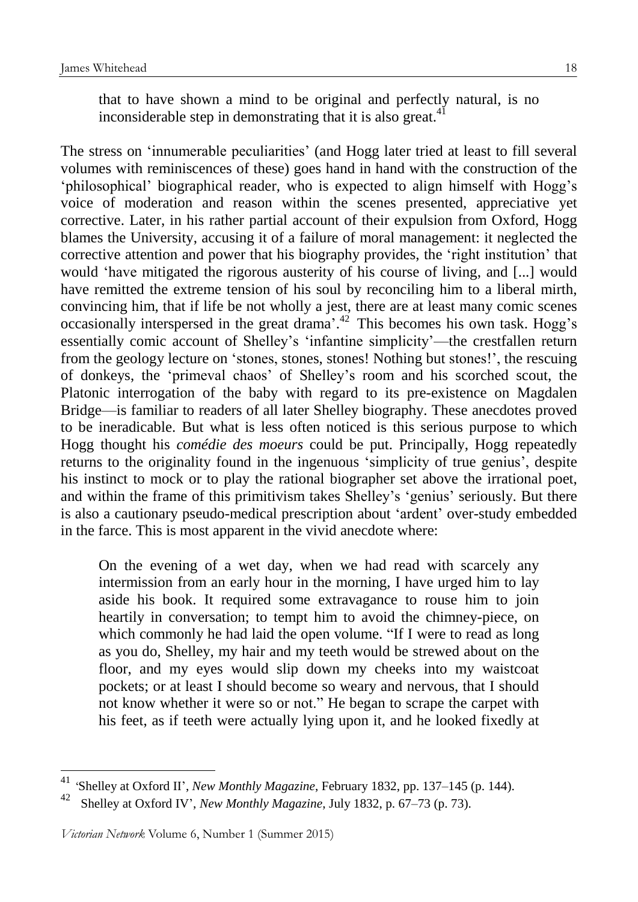that to have shown a mind to be original and perfectly natural, is no inconsiderable step in demonstrating that it is also great.<sup>41</sup>

The stress on 'innumerable peculiarities' (and Hogg later tried at least to fill several volumes with reminiscences of these) goes hand in hand with the construction of the 'philosophical' biographical reader, who is expected to align himself with Hogg's voice of moderation and reason within the scenes presented, appreciative yet corrective. Later, in his rather partial account of their expulsion from Oxford, Hogg blames the University, accusing it of a failure of moral management: it neglected the corrective attention and power that his biography provides, the 'right institution' that would 'have mitigated the rigorous austerity of his course of living, and [...] would have remitted the extreme tension of his soul by reconciling him to a liberal mirth, convincing him, that if life be not wholly a jest, there are at least many comic scenes occasionally interspersed in the great drama'. <sup>42</sup> This becomes his own task. Hogg's essentially comic account of Shelley's 'infantine simplicity'—the crestfallen return from the geology lecture on 'stones, stones, stones! Nothing but stones!', the rescuing of donkeys, the 'primeval chaos' of Shelley's room and his scorched scout, the Platonic interrogation of the baby with regard to its pre-existence on Magdalen Bridge—is familiar to readers of all later Shelley biography. These anecdotes proved to be ineradicable. But what is less often noticed is this serious purpose to which Hogg thought his *comédie des moeurs* could be put. Principally, Hogg repeatedly returns to the originality found in the ingenuous 'simplicity of true genius', despite his instinct to mock or to play the rational biographer set above the irrational poet, and within the frame of this primitivism takes Shelley's 'genius' seriously. But there is also a cautionary pseudo-medical prescription about 'ardent' over-study embedded in the farce. This is most apparent in the vivid anecdote where:

On the evening of a wet day, when we had read with scarcely any intermission from an early hour in the morning, I have urged him to lay aside his book. It required some extravagance to rouse him to join heartily in conversation; to tempt him to avoid the chimney-piece, on which commonly he had laid the open volume. "If I were to read as long as you do, Shelley, my hair and my teeth would be strewed about on the floor, and my eyes would slip down my cheeks into my waistcoat pockets; or at least I should become so weary and nervous, that I should not know whether it were so or not." He began to scrape the carpet with his feet, as if teeth were actually lying upon it, and he looked fixedly at

<sup>41</sup> <sup>41</sup> 'Shelley at Oxford II', *New Monthly Magazine*, February 1832, pp. 137–145 (p. 144).

<sup>42</sup> Shelley at Oxford IV', *New Monthly Magazine*, July 1832, p. 67–73 (p. 73).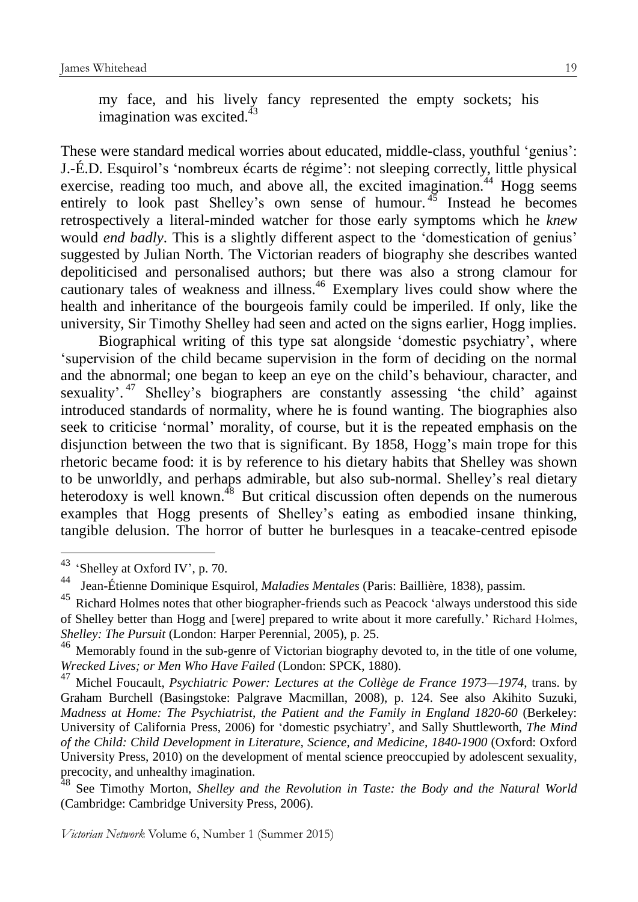my face, and his lively fancy represented the empty sockets; his imagination was excited. $^{43}$ 

These were standard medical worries about educated, middle-class, youthful 'genius': J.-É.D. Esquirol's 'nombreux écarts de régime': not sleeping correctly, little physical exercise, reading too much, and above all, the excited imagination.<sup>44</sup> Hogg seems entirely to look past Shelley's own sense of humour.<sup>45</sup> Instead he becomes retrospectively a literal-minded watcher for those early symptoms which he *knew* would *end badly*. This is a slightly different aspect to the 'domestication of genius' suggested by Julian North. The Victorian readers of biography she describes wanted depoliticised and personalised authors; but there was also a strong clamour for cautionary tales of weakness and illness.<sup>46</sup> Exemplary lives could show where the health and inheritance of the bourgeois family could be imperiled. If only, like the university, Sir Timothy Shelley had seen and acted on the signs earlier, Hogg implies.

Biographical writing of this type sat alongside 'domestic psychiatry', where 'supervision of the child became supervision in the form of deciding on the normal and the abnormal; one began to keep an eye on the child's behaviour, character, and sexuality'.<sup>47</sup> Shelley's biographers are constantly assessing 'the child' against introduced standards of normality, where he is found wanting. The biographies also seek to criticise 'normal' morality, of course, but it is the repeated emphasis on the disjunction between the two that is significant. By 1858, Hogg's main trope for this rhetoric became food: it is by reference to his dietary habits that Shelley was shown to be unworldly, and perhaps admirable, but also sub-normal. Shelley's real dietary heterodoxy is well known.<sup>48</sup> But critical discussion often depends on the numerous examples that Hogg presents of Shelley's eating as embodied insane thinking, tangible delusion. The horror of butter he burlesques in a teacake-centred episode

<sup>43</sup> 'Shelley at Oxford IV', p. 70.

<sup>44</sup> Jean-Étienne Dominique Esquirol, *Maladies Mentales* (Paris: Baillière, 1838), passim.

<sup>&</sup>lt;sup>45</sup> Richard Holmes notes that other biographer-friends such as Peacock 'always understood this side of Shelley better than Hogg and [were] prepared to write about it more carefully.' Richard Holmes, *Shelley: The Pursuit* (London: Harper Perennial, 2005), p. 25.

<sup>&</sup>lt;sup>46</sup> Memorably found in the sub-genre of Victorian biography devoted to, in the title of one volume, *Wrecked Lives; or Men Who Have Failed* (London: SPCK, 1880).

<sup>47</sup> Michel Foucault, *Psychiatric Power: Lectures at the Collège de France 1973—1974*, trans. by Graham Burchell (Basingstoke: Palgrave Macmillan, 2008), p. 124. See also Akihito Suzuki, *Madness at Home: The Psychiatrist, the Patient and the Family in England 1820-60* (Berkeley: University of California Press, 2006) for 'domestic psychiatry', and Sally Shuttleworth, *The Mind of the Child: Child Development in Literature, Science, and Medicine, 1840-1900* (Oxford: Oxford University Press, 2010) on the development of mental science preoccupied by adolescent sexuality, precocity, and unhealthy imagination.

<sup>48</sup> See Timothy Morton, *Shelley and the Revolution in Taste: the Body and the Natural World* (Cambridge: Cambridge University Press, 2006).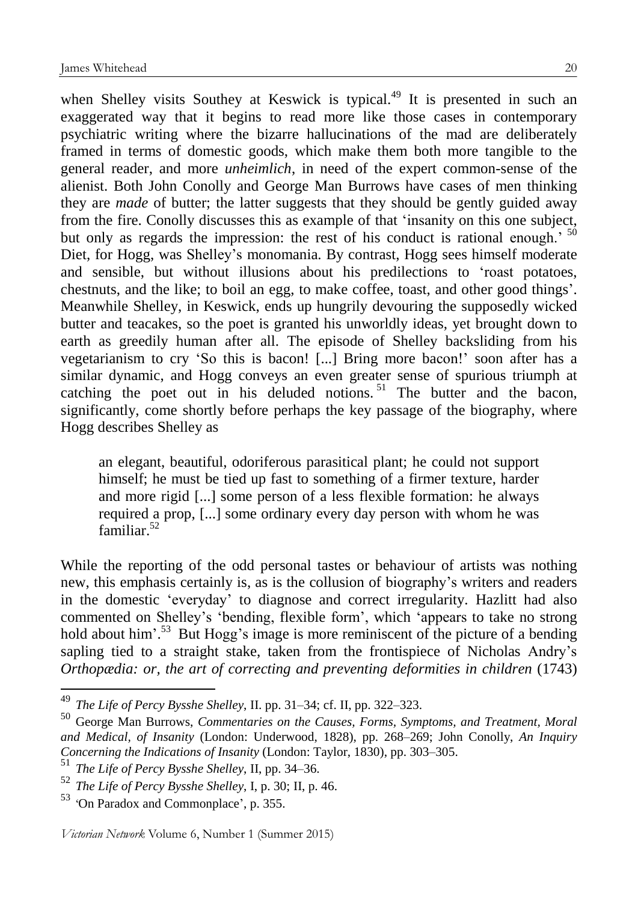when Shelley visits Southey at Keswick is typical.<sup>49</sup> It is presented in such an exaggerated way that it begins to read more like those cases in contemporary psychiatric writing where the bizarre hallucinations of the mad are deliberately framed in terms of domestic goods, which make them both more tangible to the general reader, and more *unheimlich*, in need of the expert common-sense of the alienist. Both John Conolly and George Man Burrows have cases of men thinking they are *made* of butter; the latter suggests that they should be gently guided away from the fire. Conolly discusses this as example of that 'insanity on this one subject, but only as regards the impression: the rest of his conduct is rational enough.<sup>50</sup> Diet, for Hogg, was Shelley's monomania. By contrast, Hogg sees himself moderate and sensible, but without illusions about his predilections to 'roast potatoes, chestnuts, and the like; to boil an egg, to make coffee, toast, and other good things'. Meanwhile Shelley, in Keswick, ends up hungrily devouring the supposedly wicked butter and teacakes, so the poet is granted his unworldly ideas, yet brought down to earth as greedily human after all. The episode of Shelley backsliding from his vegetarianism to cry 'So this is bacon! [...] Bring more bacon!' soon after has a similar dynamic, and Hogg conveys an even greater sense of spurious triumph at catching the poet out in his deluded notions.  $51$  The butter and the bacon, significantly, come shortly before perhaps the key passage of the biography, where Hogg describes Shelley as

an elegant, beautiful, odoriferous parasitical plant; he could not support himself; he must be tied up fast to something of a firmer texture, harder and more rigid [...] some person of a less flexible formation: he always required a prop, [...] some ordinary every day person with whom he was familiar.<sup>52</sup>

While the reporting of the odd personal tastes or behaviour of artists was nothing new, this emphasis certainly is, as is the collusion of biography's writers and readers in the domestic 'everyday' to diagnose and correct irregularity. Hazlitt had also commented on Shelley's 'bending, flexible form', which 'appears to take no strong hold about him'.<sup>53</sup> But Hogg's image is more reminiscent of the picture of a bending sapling tied to a straight stake, taken from the frontispiece of Nicholas Andry's *Orthopædia: or, the art of correcting and preventing deformities in children* (1743)

<sup>49</sup> *The Life of Percy Bysshe Shelley*, II. pp. 31–34; cf. II, pp. 322–323.

<sup>50</sup> George Man Burrows, *Commentaries on the Causes, Forms, Symptoms, and Treatment, Moral and Medical, of Insanity* (London: Underwood, 1828), pp. 268–269; John Conolly, *An Inquiry Concerning the Indications of Insanity* (London: Taylor, 1830), pp. 303–305.

<sup>51</sup> *The Life of Percy Bysshe Shelley*, II, pp. 34–36.

<sup>52</sup> *The Life of Percy Bysshe Shelley*, I, p. 30; II, p. 46.

<sup>53</sup> 'On Paradox and Commonplace', p. 355.

*Victorian Network* Volume 6, Number 1 (Summer 2015)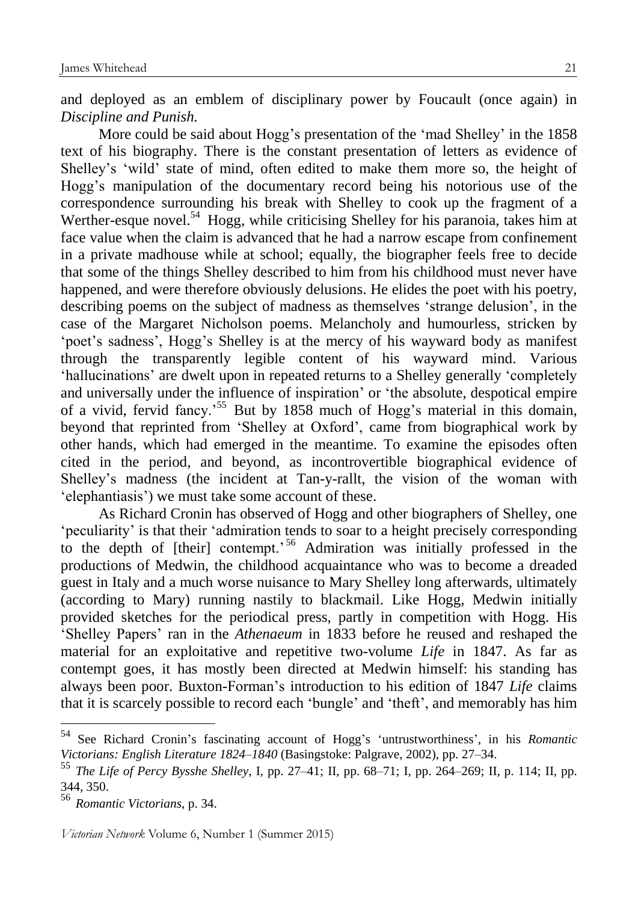and deployed as an emblem of disciplinary power by Foucault (once again) in *Discipline and Punish.*

More could be said about Hogg's presentation of the 'mad Shelley' in the 1858 text of his biography. There is the constant presentation of letters as evidence of Shelley's 'wild' state of mind, often edited to make them more so, the height of Hogg's manipulation of the documentary record being his notorious use of the correspondence surrounding his break with Shelley to cook up the fragment of a Werther-esque novel.<sup>54</sup> Hogg, while criticising Shelley for his paranoia, takes him at face value when the claim is advanced that he had a narrow escape from confinement in a private madhouse while at school; equally, the biographer feels free to decide that some of the things Shelley described to him from his childhood must never have happened, and were therefore obviously delusions. He elides the poet with his poetry, describing poems on the subject of madness as themselves 'strange delusion', in the case of the Margaret Nicholson poems. Melancholy and humourless, stricken by 'poet's sadness', Hogg's Shelley is at the mercy of his wayward body as manifest through the transparently legible content of his wayward mind. Various 'hallucinations' are dwelt upon in repeated returns to a Shelley generally 'completely and universally under the influence of inspiration' or 'the absolute, despotical empire of a vivid, fervid fancy.'<sup>55</sup> But by 1858 much of Hogg's material in this domain, beyond that reprinted from 'Shelley at Oxford', came from biographical work by other hands, which had emerged in the meantime. To examine the episodes often cited in the period, and beyond, as incontrovertible biographical evidence of Shelley's madness (the incident at Tan-y-rallt, the vision of the woman with 'elephantiasis') we must take some account of these.

As Richard Cronin has observed of Hogg and other biographers of Shelley, one 'peculiarity' is that their 'admiration tends to soar to a height precisely corresponding to the depth of [their] contempt.<sup>56</sup> Admiration was initially professed in the productions of Medwin, the childhood acquaintance who was to become a dreaded guest in Italy and a much worse nuisance to Mary Shelley long afterwards, ultimately (according to Mary) running nastily to blackmail. Like Hogg, Medwin initially provided sketches for the periodical press, partly in competition with Hogg. His 'Shelley Papers' ran in the *Athenaeum* in 1833 before he reused and reshaped the material for an exploitative and repetitive two-volume *Life* in 1847. As far as contempt goes, it has mostly been directed at Medwin himself: his standing has always been poor. Buxton-Forman's introduction to his edition of 1847 *Life* claims that it is scarcely possible to record each 'bungle' and 'theft', and memorably has him

<sup>54</sup> <sup>54</sup> See Richard Cronin's fascinating account of Hogg's 'untrustworthiness', in his *Romantic Victorians: English Literature 1824–1840* (Basingstoke: Palgrave, 2002), pp. 27–34.

<sup>55</sup> *The Life of Percy Bysshe Shelley*, I, pp. 27–41; II, pp. 68–71; I, pp. 264–269; II, p. 114; II, pp. 344, 350.

<sup>56</sup> *Romantic Victorians*, p. 34.

*Victorian Network* Volume 6, Number 1 (Summer 2015)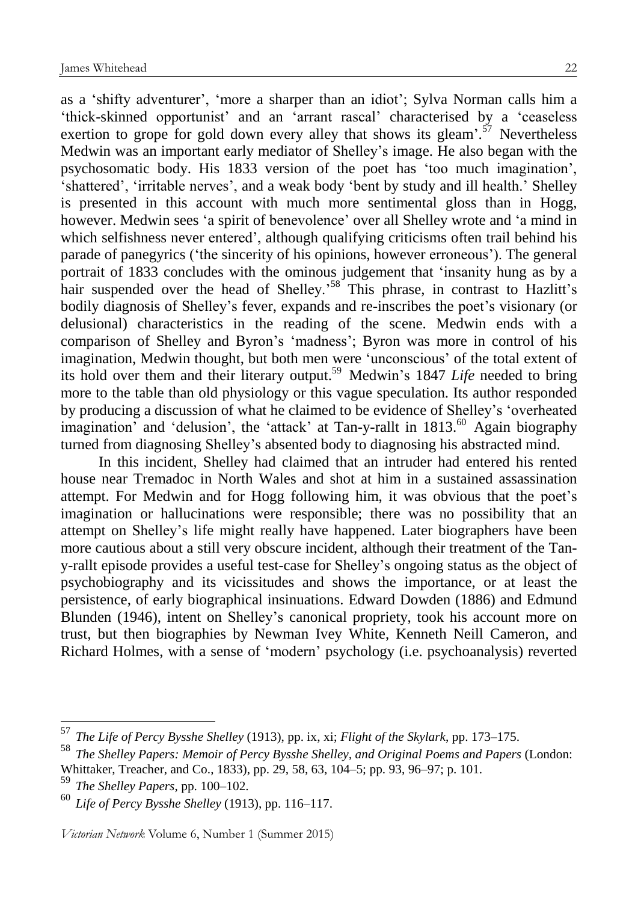as a 'shifty adventurer', 'more a sharper than an idiot'; Sylva Norman calls him a 'thick-skinned opportunist' and an 'arrant rascal' characterised by a 'ceaseless exertion to grope for gold down every alley that shows its gleam'.<sup>57</sup> Nevertheless Medwin was an important early mediator of Shelley's image. He also began with the psychosomatic body. His 1833 version of the poet has 'too much imagination', 'shattered', 'irritable nerves', and a weak body 'bent by study and ill health.' Shelley is presented in this account with much more sentimental gloss than in Hogg, however. Medwin sees 'a spirit of benevolence' over all Shelley wrote and 'a mind in which selfishness never entered', although qualifying criticisms often trail behind his parade of panegyrics ('the sincerity of his opinions, however erroneous'). The general portrait of 1833 concludes with the ominous judgement that 'insanity hung as by a hair suspended over the head of Shelley.<sup>58</sup> This phrase, in contrast to Hazlitt's bodily diagnosis of Shelley's fever, expands and re-inscribes the poet's visionary (or delusional) characteristics in the reading of the scene. Medwin ends with a comparison of Shelley and Byron's 'madness'; Byron was more in control of his imagination, Medwin thought, but both men were 'unconscious' of the total extent of its hold over them and their literary output.<sup>59</sup> Medwin's 1847 *Life* needed to bring more to the table than old physiology or this vague speculation. Its author responded by producing a discussion of what he claimed to be evidence of Shelley's 'overheated imagination' and 'delusion', the 'attack' at Tan-y-rallt in  $1813<sup>60</sup>$  Again biography turned from diagnosing Shelley's absented body to diagnosing his abstracted mind.

In this incident, Shelley had claimed that an intruder had entered his rented house near Tremadoc in North Wales and shot at him in a sustained assassination attempt. For Medwin and for Hogg following him, it was obvious that the poet's imagination or hallucinations were responsible; there was no possibility that an attempt on Shelley's life might really have happened. Later biographers have been more cautious about a still very obscure incident, although their treatment of the Tany-rallt episode provides a useful test-case for Shelley's ongoing status as the object of psychobiography and its vicissitudes and shows the importance, or at least the persistence, of early biographical insinuations. Edward Dowden (1886) and Edmund Blunden (1946), intent on Shelley's canonical propriety, took his account more on trust, but then biographies by Newman Ivey White, Kenneth Neill Cameron, and Richard Holmes, with a sense of 'modern' psychology (i.e. psychoanalysis) reverted

<sup>57</sup> *The Life of Percy Bysshe Shelley* (1913), pp. ix, xi; *Flight of the Skylark*, pp. 173–175.

<sup>58</sup> *The Shelley Papers: Memoir of Percy Bysshe Shelley, and Original Poems and Papers* (London: Whittaker, Treacher, and Co., 1833), pp. 29, 58, 63, 104–5; pp. 93, 96–97; p. 101.

<sup>59</sup> *The Shelley Papers*, pp. 100–102.

<sup>60</sup> *Life of Percy Bysshe Shelley* (1913), pp. 116–117.

*Victorian Network* Volume 6, Number 1 (Summer 2015)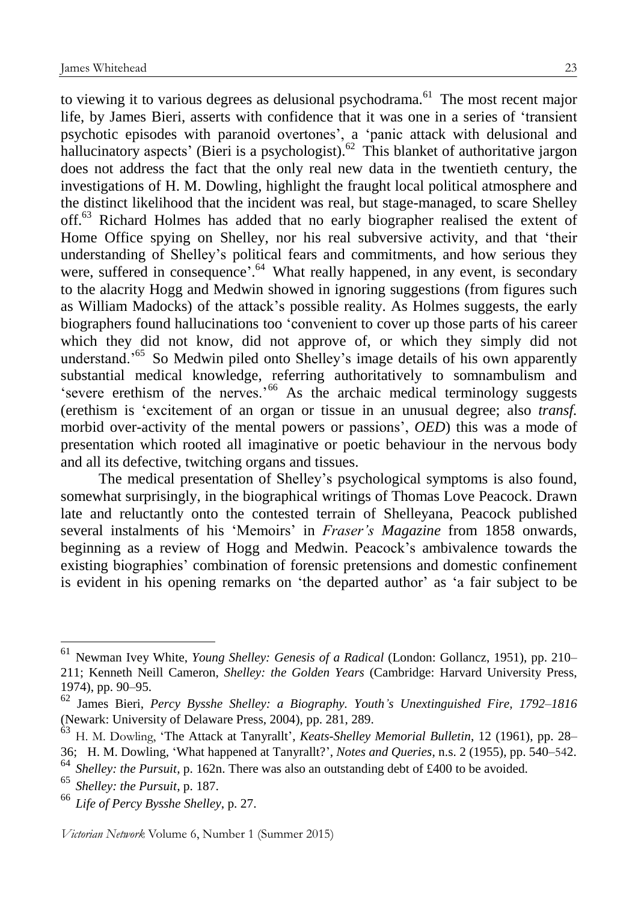to viewing it to various degrees as delusional psychodrama.<sup>61</sup> The most recent major life, by James Bieri, asserts with confidence that it was one in a series of 'transient psychotic episodes with paranoid overtones', a 'panic attack with delusional and hallucinatory aspects' (Bieri is a psychologist).<sup>62</sup> This blanket of authoritative jargon does not address the fact that the only real new data in the twentieth century, the investigations of H. M. Dowling, highlight the fraught local political atmosphere and the distinct likelihood that the incident was real, but stage-managed, to scare Shelley off.<sup>63</sup> Richard Holmes has added that no early biographer realised the extent of Home Office spying on Shelley, nor his real subversive activity, and that 'their understanding of Shelley's political fears and commitments, and how serious they were, suffered in consequence'.<sup>64</sup> What really happened, in any event, is secondary to the alacrity Hogg and Medwin showed in ignoring suggestions (from figures such as William Madocks) of the attack's possible reality. As Holmes suggests, the early biographers found hallucinations too 'convenient to cover up those parts of his career which they did not know, did not approve of, or which they simply did not understand.'<sup>65</sup> So Medwin piled onto Shelley's image details of his own apparently substantial medical knowledge, referring authoritatively to somnambulism and 'severe erethism of the nerves.'<sup>66</sup> As the archaic medical terminology suggests (erethism is 'excitement of an organ or tissue in an unusual degree; also *transf.* morbid over-activity of the mental powers or passions', *OED*) this was a mode of presentation which rooted all imaginative or poetic behaviour in the nervous body and all its defective, twitching organs and tissues.

The medical presentation of Shelley's psychological symptoms is also found, somewhat surprisingly, in the biographical writings of Thomas Love Peacock. Drawn late and reluctantly onto the contested terrain of Shelleyana, Peacock published several instalments of his 'Memoirs' in *Fraser's Magazine* from 1858 onwards, beginning as a review of Hogg and Medwin. Peacock's ambivalence towards the existing biographies' combination of forensic pretensions and domestic confinement is evident in his opening remarks on 'the departed author' as 'a fair subject to be

<sup>61</sup> Newman Ivey White, *Young Shelley: Genesis of a Radical* (London: Gollancz, 1951), pp. 210– 211; Kenneth Neill Cameron, *Shelley: the Golden Years* (Cambridge: Harvard University Press, 1974), pp. 90–95.

<sup>62</sup> James Bieri, *Percy Bysshe Shelley: a Biography. Youth's Unextinguished Fire, 1792–1816* (Newark: University of Delaware Press, 2004), pp. 281, 289.

<sup>63</sup> H. M. Dowling, 'The Attack at Tanyrallt', *Keats-Shelley Memorial Bulletin*, 12 (1961), pp. 28– 36; H. M. Dowling, 'What happened at Tanyrallt?', *Notes and Queries*, n.s. 2 (1955), pp. 540–542.

<sup>64</sup> *Shelley: the Pursuit*, p. 162n. There was also an outstanding debt of £400 to be avoided.

<sup>65</sup> *Shelley: the Pursuit*, p. 187.

<sup>66</sup> *Life of Percy Bysshe Shelley*, p. 27.

*Victorian Network* Volume 6, Number 1 (Summer 2015)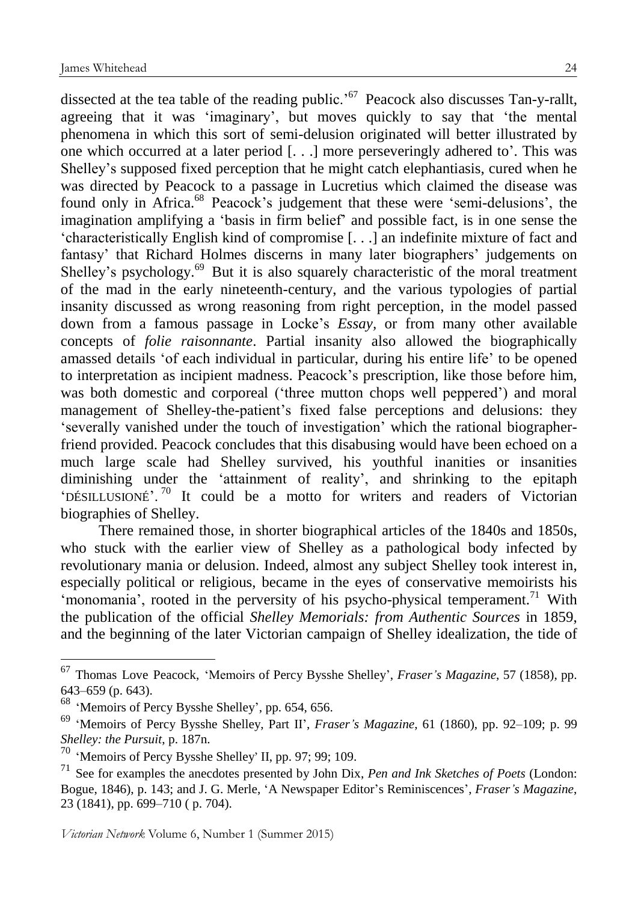dissected at the tea table of the reading public.<sup>'67</sup> Peacock also discusses Tan-y-rallt, agreeing that it was 'imaginary', but moves quickly to say that 'the mental phenomena in which this sort of semi-delusion originated will better illustrated by one which occurred at a later period [. . .] more perseveringly adhered to'. This was Shelley's supposed fixed perception that he might catch elephantiasis, cured when he was directed by Peacock to a passage in Lucretius which claimed the disease was found only in Africa.<sup>68</sup> Peacock's judgement that these were 'semi-delusions', the imagination amplifying a 'basis in firm belief' and possible fact, is in one sense the 'characteristically English kind of compromise [. . .] an indefinite mixture of fact and fantasy' that Richard Holmes discerns in many later biographers' judgements on Shelley's psychology.<sup>69</sup> But it is also squarely characteristic of the moral treatment of the mad in the early nineteenth-century, and the various typologies of partial insanity discussed as wrong reasoning from right perception, in the model passed down from a famous passage in Locke's *Essay,* or from many other available concepts of *folie raisonnante*. Partial insanity also allowed the biographically amassed details 'of each individual in particular, during his entire life' to be opened to interpretation as incipient madness. Peacock's prescription, like those before him, was both domestic and corporeal ('three mutton chops well peppered') and moral management of Shelley-the-patient's fixed false perceptions and delusions: they 'severally vanished under the touch of investigation' which the rational biographerfriend provided. Peacock concludes that this disabusing would have been echoed on a much large scale had Shelley survived, his youthful inanities or insanities diminishing under the 'attainment of reality', and shrinking to the epitaph 'DÉSILLUSIONÉ'. <sup>70</sup> It could be a motto for writers and readers of Victorian biographies of Shelley.

There remained those, in shorter biographical articles of the 1840s and 1850s, who stuck with the earlier view of Shelley as a pathological body infected by revolutionary mania or delusion. Indeed, almost any subject Shelley took interest in, especially political or religious, became in the eyes of conservative memoirists his 'monomania', rooted in the perversity of his psycho-physical temperament.<sup>71</sup> With the publication of the official *Shelley Memorials: from Authentic Sources* in 1859, and the beginning of the later Victorian campaign of Shelley idealization, the tide of

<sup>67</sup> Thomas Love Peacock, 'Memoirs of Percy Bysshe Shelley', *Fraser's Magazine*, 57 (1858), pp. 643–659 (p. 643).

<sup>68</sup> 'Memoirs of Percy Bysshe Shelley', pp. 654, 656.

<sup>69</sup> 'Memoirs of Percy Bysshe Shelley, Part II', *Fraser's Magazine*, 61 (1860), pp. 92–109; p. 99 *Shelley: the Pursuit*, p. 187n.

<sup>70</sup> 'Memoirs of Percy Bysshe Shelley' II, pp. 97; 99; 109.

<sup>71</sup> See for examples the anecdotes presented by John Dix, *Pen and Ink Sketches of Poets* (London: Bogue, 1846), p. 143; and J. G. Merle, 'A Newspaper Editor's Reminiscences', *Fraser's Magazine*, 23 (1841), pp. 699–710 ( p. 704).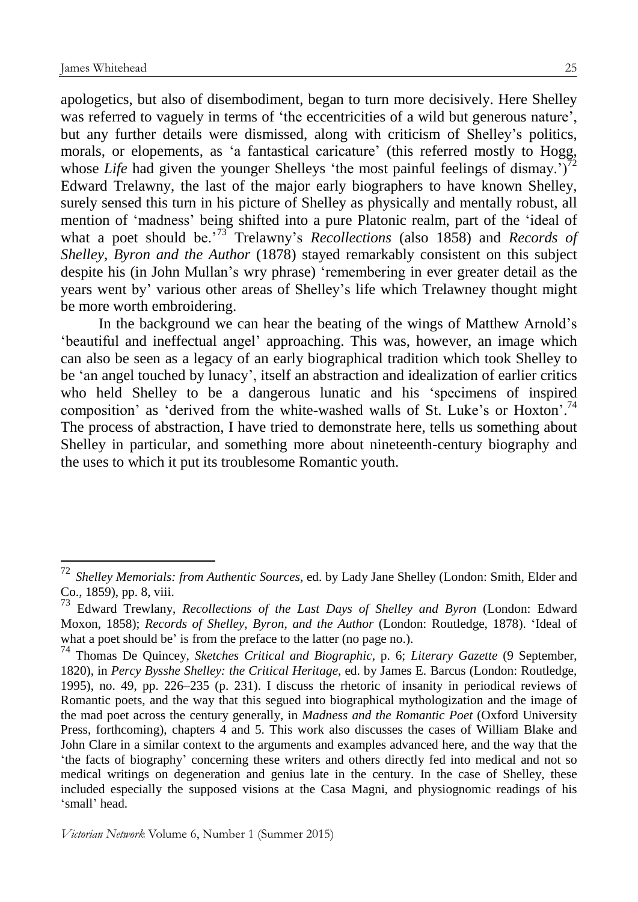1

apologetics, but also of disembodiment, began to turn more decisively. Here Shelley was referred to vaguely in terms of 'the eccentricities of a wild but generous nature', but any further details were dismissed, along with criticism of Shelley's politics, morals, or elopements, as 'a fantastical caricature' (this referred mostly to Hogg, whose *Life* had given the younger Shelleys 'the most painful feelings of dismay.<sup>7</sup>)<sup>7</sup> Edward Trelawny, the last of the major early biographers to have known Shelley, surely sensed this turn in his picture of Shelley as physically and mentally robust, all mention of 'madness' being shifted into a pure Platonic realm, part of the 'ideal of what a poet should be.<sup>773</sup> Trelawny's *Recollections* (also 1858) and *Records of Shelley, Byron and the Author* (1878) stayed remarkably consistent on this subject despite his (in John Mullan's wry phrase) 'remembering in ever greater detail as the years went by' various other areas of Shelley's life which Trelawney thought might be more worth embroidering.

In the background we can hear the beating of the wings of Matthew Arnold's 'beautiful and ineffectual angel' approaching. This was, however, an image which can also be seen as a legacy of an early biographical tradition which took Shelley to be 'an angel touched by lunacy', itself an abstraction and idealization of earlier critics who held Shelley to be a dangerous lunatic and his 'specimens of inspired composition' as 'derived from the white-washed walls of St. Luke's or Hoxton'. 74 The process of abstraction, I have tried to demonstrate here, tells us something about Shelley in particular, and something more about nineteenth-century biography and the uses to which it put its troublesome Romantic youth.

<sup>72</sup> *Shelley Memorials: from Authentic Sources*, ed. by Lady Jane Shelley (London: Smith, Elder and Co., 1859), pp. 8, viii.

<sup>73</sup> Edward Trewlany, *Recollections of the Last Days of Shelley and Byron* (London: Edward Moxon, 1858); *Records of Shelley, Byron, and the Author* (London: Routledge, 1878). 'Ideal of what a poet should be' is from the preface to the latter (no page no.).

<sup>74</sup> Thomas De Quincey, *Sketches Critical and Biographic*, p. 6; *Literary Gazette* (9 September, 1820), in *Percy Bysshe Shelley: the Critical Heritage*, ed. by James E. Barcus (London: Routledge, 1995), no. 49, pp. 226–235 (p. 231). I discuss the rhetoric of insanity in periodical reviews of Romantic poets, and the way that this segued into biographical mythologization and the image of the mad poet across the century generally, in *Madness and the Romantic Poet* (Oxford University Press, forthcoming), chapters 4 and 5. This work also discusses the cases of William Blake and John Clare in a similar context to the arguments and examples advanced here, and the way that the 'the facts of biography' concerning these writers and others directly fed into medical and not so medical writings on degeneration and genius late in the century. In the case of Shelley, these included especially the supposed visions at the Casa Magni, and physiognomic readings of his 'small' head.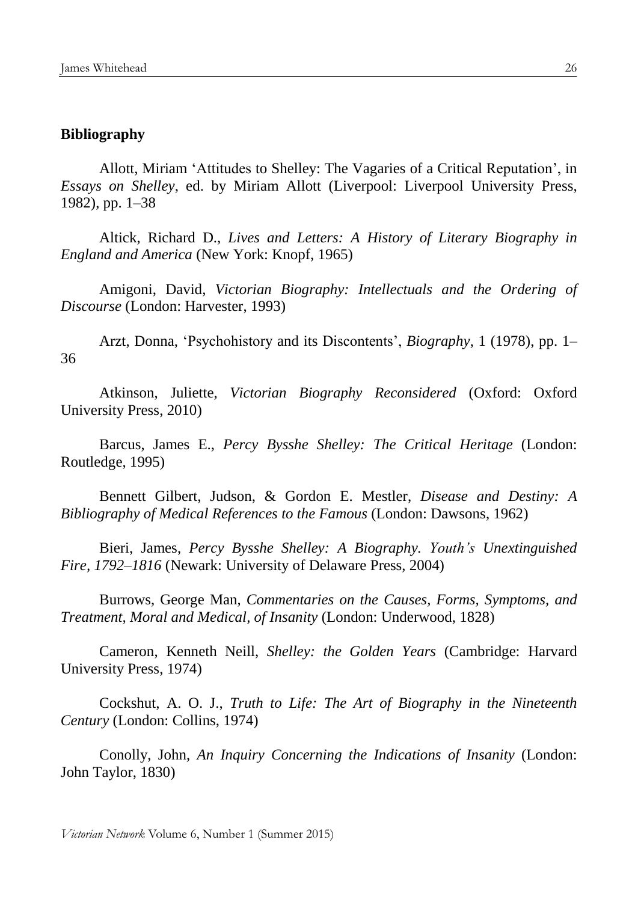## **Bibliography**

Allott, Miriam 'Attitudes to Shelley: The Vagaries of a Critical Reputation', in *Essays on Shelley*, ed. by Miriam Allott (Liverpool: Liverpool University Press, 1982), pp. 1–38

Altick, Richard D., *Lives and Letters: A History of Literary Biography in England and America* (New York: Knopf, 1965)

Amigoni, David, *Victorian Biography: Intellectuals and the Ordering of Discourse* (London: Harvester, 1993)

Arzt, Donna, 'Psychohistory and its Discontents', *Biography*, 1 (1978), pp. 1– 36

Atkinson, Juliette, *Victorian Biography Reconsidered* (Oxford: Oxford University Press, 2010)

Barcus, James E., *Percy Bysshe Shelley: The Critical Heritage* (London: Routledge, 1995)

Bennett Gilbert, Judson, & Gordon E. Mestler, *Disease and Destiny: A Bibliography of Medical References to the Famous* (London: Dawsons, 1962)

Bieri, James, *Percy Bysshe Shelley: A Biography. Youth's Unextinguished Fire, 1792–1816* (Newark: University of Delaware Press, 2004)

Burrows, George Man, *Commentaries on the Causes, Forms, Symptoms, and Treatment, Moral and Medical, of Insanity* (London: Underwood, 1828)

Cameron, Kenneth Neill, *Shelley: the Golden Years* (Cambridge: Harvard University Press, 1974)

Cockshut, A. O. J., *Truth to Life: The Art of Biography in the Nineteenth Century* (London: Collins, 1974)

Conolly, John, *An Inquiry Concerning the Indications of Insanity* (London: John Taylor, 1830)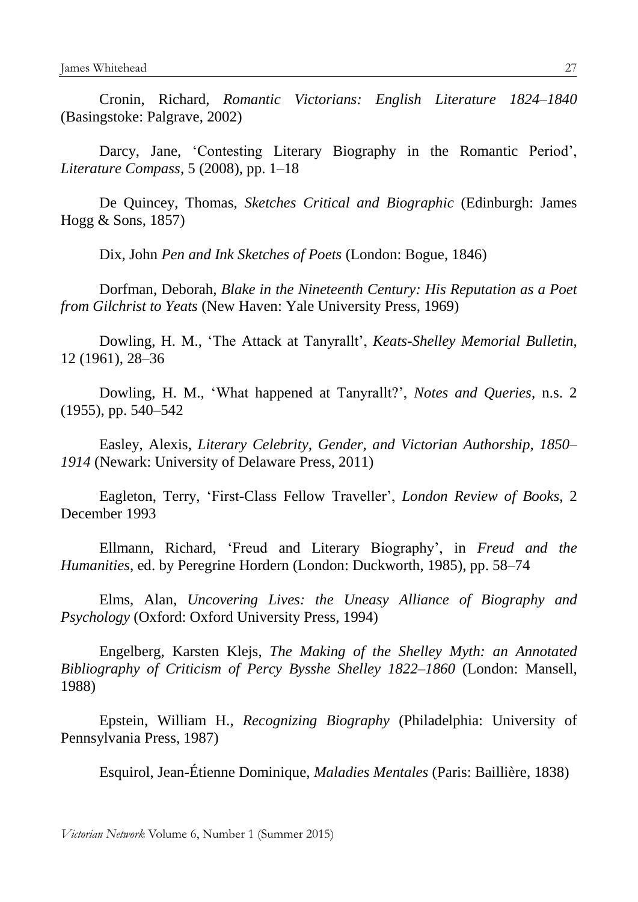Cronin, Richard, *Romantic Victorians: English Literature 1824–1840* (Basingstoke: Palgrave, 2002)

Darcy, Jane, 'Contesting Literary Biography in the Romantic Period', *Literature Compass*, 5 (2008), pp. 1–18

De Quincey, Thomas, *Sketches Critical and Biographic* (Edinburgh: James Hogg & Sons, 1857)

Dix, John *Pen and Ink Sketches of Poets* (London: Bogue, 1846)

Dorfman, Deborah, *Blake in the Nineteenth Century: His Reputation as a Poet from Gilchrist to Yeats* (New Haven: Yale University Press, 1969)

Dowling, H. M., 'The Attack at Tanyrallt', *Keats-Shelley Memorial Bulletin*, 12 (1961), 28–36

Dowling, H. M., 'What happened at Tanyrallt?', *Notes and Queries*, n.s. 2 (1955), pp. 540–542

Easley, Alexis, *Literary Celebrity, Gender, and Victorian Authorship, 1850– 1914* (Newark: University of Delaware Press, 2011)

Eagleton, Terry, 'First-Class Fellow Traveller', *London Review of Books*, 2 December 1993

Ellmann, Richard, 'Freud and Literary Biography', in *Freud and the Humanities*, ed. by Peregrine Hordern (London: Duckworth, 1985), pp. 58–74

Elms, Alan, *Uncovering Lives: the Uneasy Alliance of Biography and Psychology* (Oxford: Oxford University Press, 1994)

Engelberg, Karsten Klejs, *The Making of the Shelley Myth: an Annotated Bibliography of Criticism of Percy Bysshe Shelley 1822–1860* (London: Mansell, 1988)

Epstein, William H., *Recognizing Biography* (Philadelphia: University of Pennsylvania Press, 1987)

Esquirol, Jean-Étienne Dominique, *Maladies Mentales* (Paris: Baillière, 1838)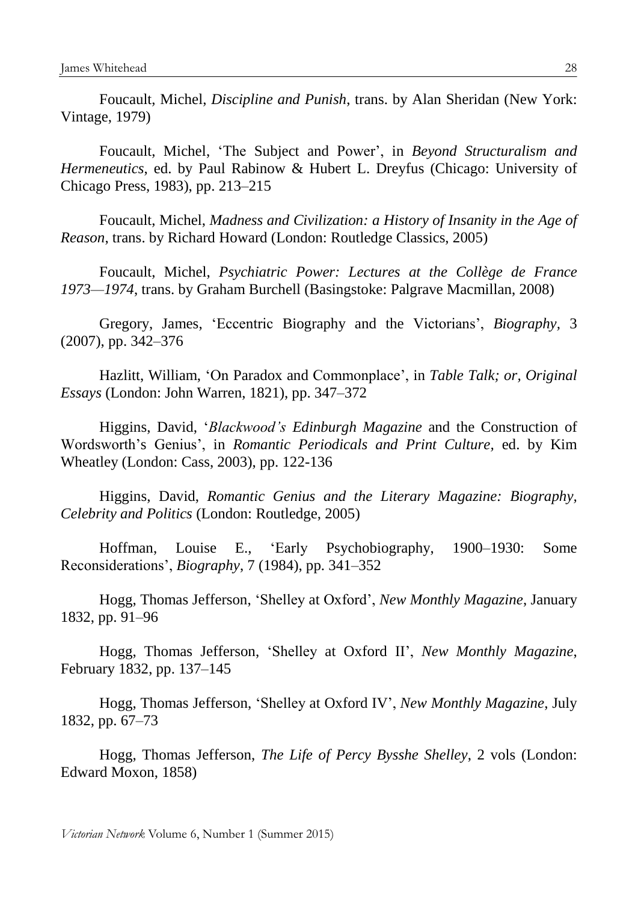Foucault, Michel, *Discipline and Punish*, trans. by Alan Sheridan (New York: Vintage, 1979)

Foucault, Michel, 'The Subject and Power', in *Beyond Structuralism and Hermeneutics*, ed. by Paul Rabinow & Hubert L. Dreyfus (Chicago: University of Chicago Press, 1983), pp. 213–215

Foucault, Michel, *Madness and Civilization: a History of Insanity in the Age of Reason*, trans. by Richard Howard (London: Routledge Classics, 2005)

Foucault, Michel, *Psychiatric Power: Lectures at the Collège de France 1973—1974*, trans. by Graham Burchell (Basingstoke: Palgrave Macmillan, 2008)

Gregory, James, 'Eccentric Biography and the Victorians', *Biography,* 3 (2007), pp. 342–376

Hazlitt, William, 'On Paradox and Commonplace', in *Table Talk; or, Original Essays* (London: John Warren, 1821), pp. 347–372

Higgins, David, '*Blackwood's Edinburgh Magazine* and the Construction of Wordsworth's Genius', in *Romantic Periodicals and Print Culture,* ed. by Kim Wheatley (London: Cass, 2003), pp. 122-136

Higgins, David, *Romantic Genius and the Literary Magazine: Biography, Celebrity and Politics* (London: Routledge, 2005)

Hoffman, Louise E., 'Early Psychobiography, 1900–1930: Some Reconsiderations', *Biography*, 7 (1984), pp. 341–352

Hogg, Thomas Jefferson, 'Shelley at Oxford', *New Monthly Magazine*, January 1832, pp. 91–96

Hogg, Thomas Jefferson, 'Shelley at Oxford II', *New Monthly Magazine*, February 1832, pp. 137–145

Hogg, Thomas Jefferson, 'Shelley at Oxford IV', *New Monthly Magazine*, July 1832, pp. 67–73

Hogg, Thomas Jefferson, *The Life of Percy Bysshe Shelley*, 2 vols (London: Edward Moxon, 1858)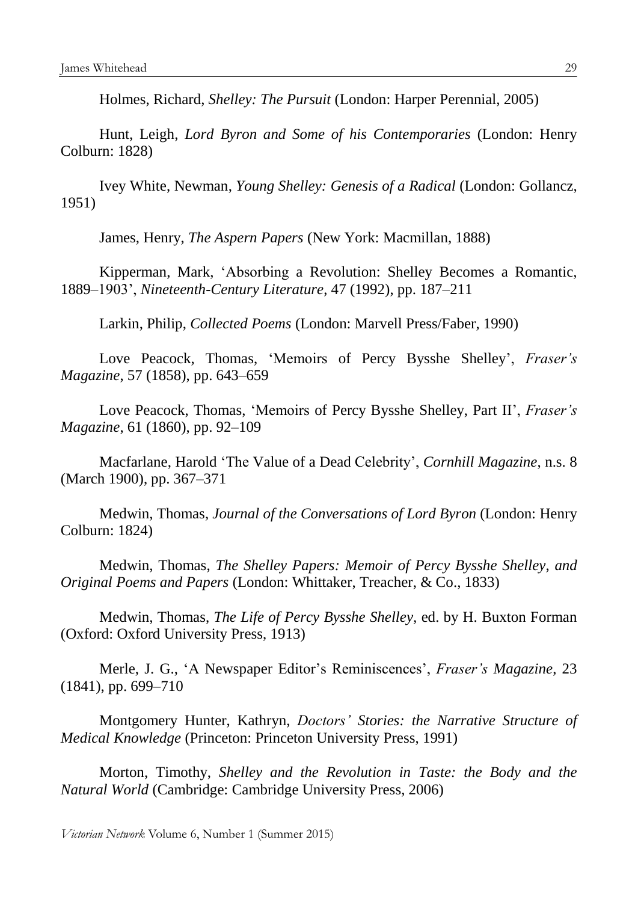Holmes, Richard, *Shelley: The Pursuit* (London: Harper Perennial, 2005)

Hunt, Leigh, *Lord Byron and Some of his Contemporaries* (London: Henry Colburn: 1828)

Ivey White, Newman, *Young Shelley: Genesis of a Radical* (London: Gollancz, 1951)

James, Henry, *The Aspern Papers* (New York: Macmillan, 1888)

Kipperman, Mark, 'Absorbing a Revolution: Shelley Becomes a Romantic, 1889–1903', *Nineteenth-Century Literature*, 47 (1992), pp. 187–211

Larkin, Philip, *Collected Poems* (London: Marvell Press/Faber, 1990)

Love Peacock, Thomas, 'Memoirs of Percy Bysshe Shelley', *Fraser's Magazine*, 57 (1858), pp. 643–659

Love Peacock, Thomas, 'Memoirs of Percy Bysshe Shelley, Part II', *Fraser's Magazine*, 61 (1860), pp. 92–109

Macfarlane, Harold 'The Value of a Dead Celebrity', *Cornhill Magazine*, n.s. 8 (March 1900), pp. 367–371

Medwin, Thomas, *Journal of the Conversations of Lord Byron* (London: Henry Colburn: 1824)

Medwin, Thomas, *The Shelley Papers: Memoir of Percy Bysshe Shelley*, *and Original Poems and Papers* (London: Whittaker, Treacher, & Co., 1833)

Medwin, Thomas, *The Life of Percy Bysshe Shelley,* ed. by H. Buxton Forman (Oxford: Oxford University Press, 1913)

Merle, J. G., 'A Newspaper Editor's Reminiscences', *Fraser's Magazine*, 23 (1841), pp. 699–710

Montgomery Hunter, Kathryn, *Doctors' Stories: the Narrative Structure of Medical Knowledge* (Princeton: Princeton University Press, 1991)

Morton, Timothy, *Shelley and the Revolution in Taste: the Body and the Natural World* (Cambridge: Cambridge University Press, 2006)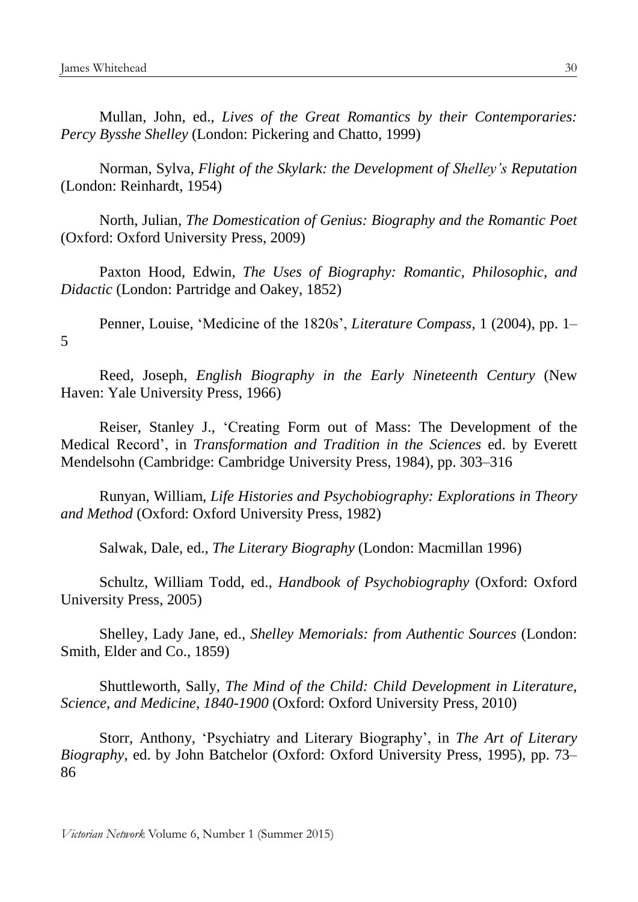Mullan, John, ed., *Lives of the Great Romantics by their Contemporaries: Percy Bysshe Shelley* (London: Pickering and Chatto, 1999)

Norman, Sylva, *Flight of the Skylark: the Development of Shelley's Reputation* (London: Reinhardt, 1954)

North, Julian, *The Domestication of Genius: Biography and the Romantic Poet* (Oxford: Oxford University Press, 2009)

Paxton Hood, Edwin, *The Uses of Biography: Romantic, Philosophic, and Didactic* (London: Partridge and Oakey, 1852)

Penner, Louise, 'Medicine of the 1820s', *Literature Compass*, 1 (2004), pp. 1– 5

Reed, Joseph, *English Biography in the Early Nineteenth Century* (New Haven: Yale University Press, 1966)

Reiser, Stanley J., 'Creating Form out of Mass: The Development of the Medical Record', in *Transformation and Tradition in the Sciences* ed. by Everett Mendelsohn (Cambridge: Cambridge University Press, 1984), pp. 303–316

Runyan, William, *Life Histories and Psychobiography: Explorations in Theory and Method* (Oxford: Oxford University Press, 1982)

Salwak, Dale, ed., *The Literary Biography* (London: Macmillan 1996)

Schultz, William Todd, ed., *Handbook of Psychobiography* (Oxford: Oxford University Press, 2005)

Shelley, Lady Jane, ed., *Shelley Memorials: from Authentic Sources* (London: Smith, Elder and Co., 1859)

Shuttleworth, Sally, *The Mind of the Child: Child Development in Literature, Science, and Medicine, 1840-1900* (Oxford: Oxford University Press, 2010)

Storr, Anthony, 'Psychiatry and Literary Biography', in *The Art of Literary Biography*, ed. by John Batchelor (Oxford: Oxford University Press, 1995), pp. 73– 86